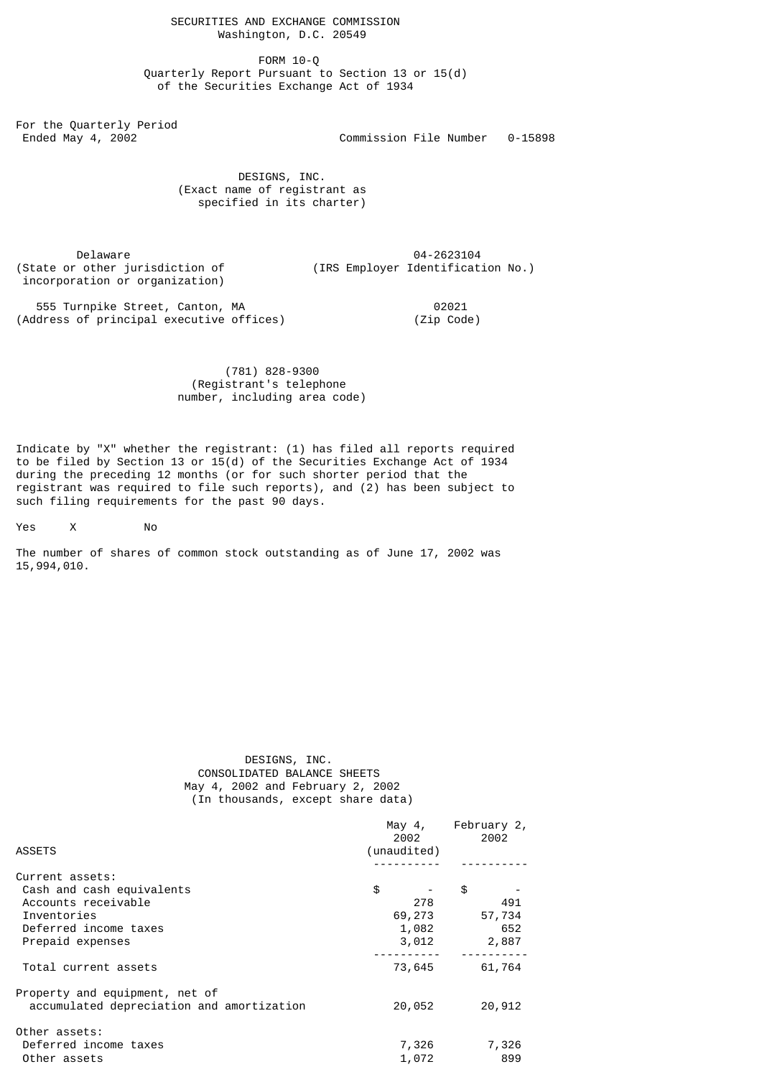FORM 10-Q Quarterly Report Pursuant to Section 13 or 15(d) of the Securities Exchange Act of 1934

For the Quarterly Period

Commission File Number 0-15898

 DESIGNS, INC. (Exact name of registrant as specified in its charter)

(State or other jurisdiction of incorporation or organization)

Delaware 04-2623104

555 Turnpike Street, Canton, MA<br>|dress of principal executive offices) (Zip Code) (Address of principal executive offices)

# (781) 828-9300 (Registrant's telephone number, including area code)

Indicate by "X" whether the registrant: (1) has filed all reports required to be filed by Section 13 or 15(d) of the Securities Exchange Act of 1934 during the preceding 12 months (or for such shorter period that the registrant was required to file such reports), and (2) has been subject to such filing requirements for the past 90 days.

Yes X No

The number of shares of common stock outstanding as of June 17, 2002 was 15,994,010.

# DESIGNS, INC. CONSOLIDATED BALANCE SHEETS May 4, 2002 and February 2, 2002 (In thousands, except share data)

|                                           | May 4,<br>2002 | February 2,<br>2002 |
|-------------------------------------------|----------------|---------------------|
| <b>ASSETS</b>                             | (unaudited)    |                     |
|                                           |                |                     |
| Current assets:                           |                |                     |
| Cash and cash equivalents                 | \$             | \$                  |
| Accounts receivable                       | 278            | 491                 |
| Inventories                               | 69,273         | 57,734              |
| Deferred income taxes                     | 1,082          | 652                 |
| Prepaid expenses                          | 3,012          | 2,887               |
| Total current assets                      | 73,645         | 61,764              |
| Property and equipment, net of            |                |                     |
| accumulated depreciation and amortization | 20,052         | 20,912              |
| Other assets:                             |                |                     |
| Deferred income taxes                     | 7,326          | 7,326               |
| Other assets                              | 1,072          | 899                 |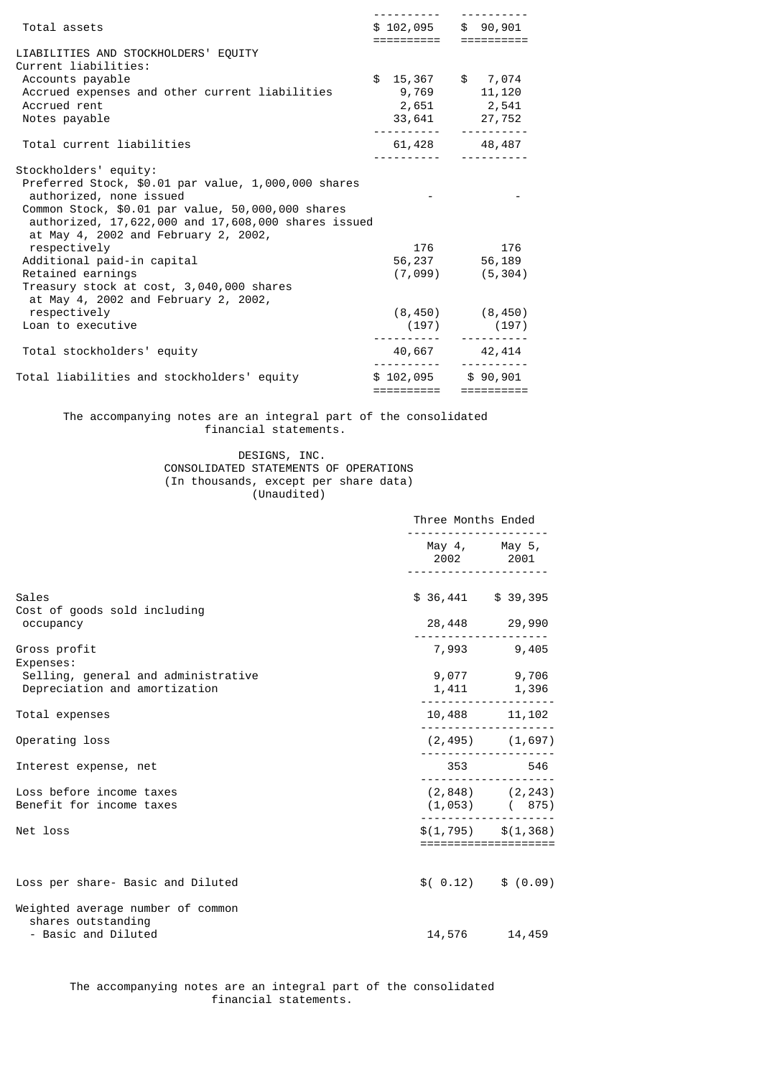| Total assets                                                                                                                                                                                                                                                                                              |  | $$102,095$ \$ 90,901<br>======================                              |     |
|-----------------------------------------------------------------------------------------------------------------------------------------------------------------------------------------------------------------------------------------------------------------------------------------------------------|--|-----------------------------------------------------------------------------|-----|
| LIABILITIES AND STOCKHOLDERS' EQUITY<br>Current liabilities:<br>Accounts payable<br>Accrued expenses and other current liabilities<br>Accrued rent<br>Notes payable                                                                                                                                       |  | $$15,367$ \$7,074<br>9,769 11,120<br>2,651 2,541<br>33,641 27,752           |     |
| Total current liabilities                                                                                                                                                                                                                                                                                 |  | 61,428 48,487<br>. <u>.</u>                                                 |     |
| Stockholders' equity:<br>Preferred Stock, \$0.01 par value, 1,000,000 shares<br>authorized, none issued<br>Common Stock, \$0.01 par value, 50,000,000 shares<br>authorized, 17,622,000 and 17,608,000 shares issued<br>at May 4, 2002 and February 2, 2002,<br>respectively<br>Additional paid-in capital |  | 176<br>56,237 56,189                                                        | 176 |
| Retained earnings<br>Treasury stock at cost, 3,040,000 shares<br>at May 4, 2002 and February 2, 2002,<br>respectively<br>Loan to executive                                                                                                                                                                |  | $(7,099)$ $(5,304)$<br>$(8, 450)$ $(8, 450)$<br>$(197) \qquad \qquad (197)$ |     |
| Total stockholders' equity                                                                                                                                                                                                                                                                                |  | 40,667 42,414                                                               |     |
| Total liabilities and stockholders' equity                                                                                                                                                                                                                                                                |  | $$102,095$ $$90,901$<br>==========                                          |     |

# The accompanying notes are an integral part of the consolidated financial statements.

 DESIGNS, INC. CONSOLIDATED STATEMENTS OF OPERATIONS (In thousands, except per share data) (Unaudited)

|                                                                      | Three Months Ended  |                                                 |  |
|----------------------------------------------------------------------|---------------------|-------------------------------------------------|--|
|                                                                      | May 4, May 5,       | 2002 2001                                       |  |
| Sales<br>Cost of goods sold including                                | $$36,441$ $$39,395$ |                                                 |  |
| occupancy                                                            |                     | 28,448 29,990                                   |  |
| Gross profit<br>Expenses:                                            |                     | 7,993 9,405                                     |  |
| Selling, general and administrative<br>Depreciation and amortization |                     | 9,077 9,706<br>1,411 1,396                      |  |
| Total expenses                                                       |                     | 10,488 11,102                                   |  |
| Operating loss                                                       |                     | $(2, 495)$ $(1, 697)$                           |  |
| Interest expense, net                                                | <u>.</u>            | 353 546                                         |  |
| Loss before income taxes<br>Benefit for income taxes                 |                     | $(2, 848)$ $(2, 243)$<br>$(1, 053)$ (875)       |  |
| Net loss                                                             |                     | $$(1, 795)$ $$(1, 368)$<br>:=================== |  |
|                                                                      |                     |                                                 |  |
| Loss per share- Basic and Diluted                                    |                     | $$(0.12)$ \;}(0.09)                             |  |
| Weighted average number of common<br>shares outstanding              |                     |                                                 |  |
| - Basic and Diluted                                                  | 14,576              | 14,459                                          |  |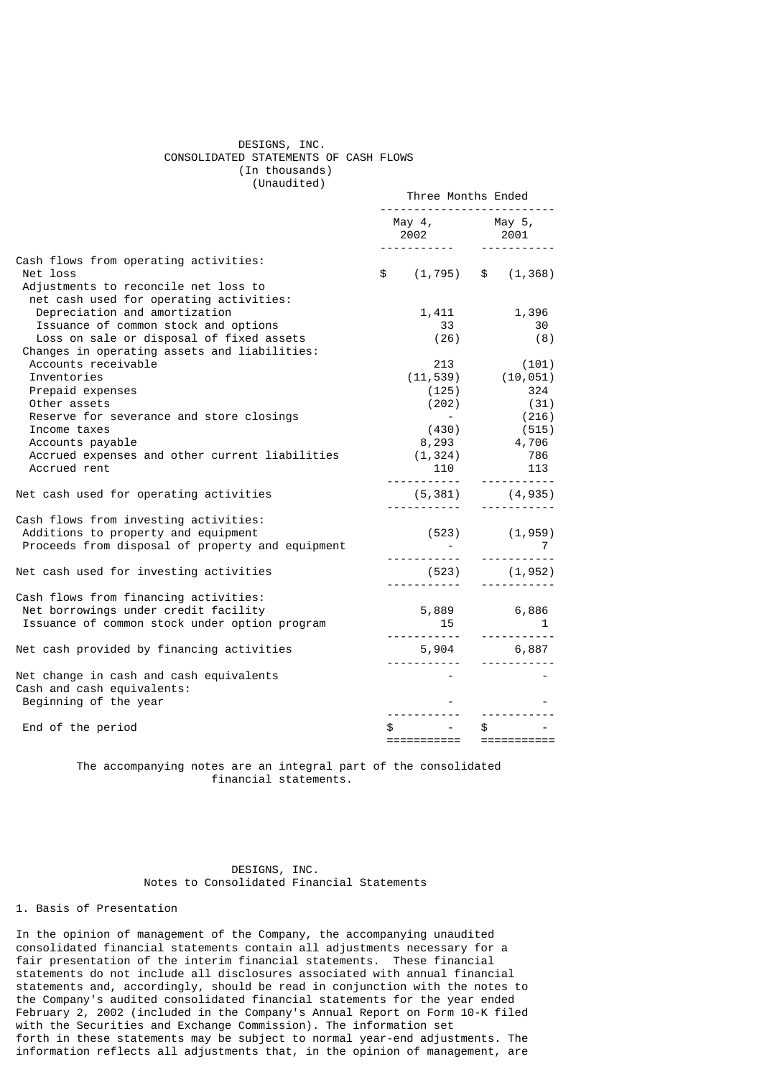# DESIGNS, INC. CONSOLIDATED STATEMENTS OF CASH FLOWS (In thousands) (Unaudited)

|                                                                                                                                  | Three Months Ended    |                                         |                           |                                     |
|----------------------------------------------------------------------------------------------------------------------------------|-----------------------|-----------------------------------------|---------------------------|-------------------------------------|
|                                                                                                                                  | May 4, May 5,<br>2002 |                                         | 2001<br>$- - - - - - - -$ |                                     |
| Cash flows from operating activities:<br>Net loss<br>Adjustments to reconcile net loss to                                        |                       | $$(1, 795) \quad $(1, 368)$             |                           |                                     |
| net cash used for operating activities:<br>Depreciation and amortization<br>Issuance of common stock and options                 |                       | 1,411<br>33                             |                           | 1,396<br>30                         |
| Loss on sale or disposal of fixed assets<br>Changes in operating assets and liabilities:                                         |                       | (26)                                    |                           | (8)                                 |
| Accounts receivable<br>Inventories<br>Prepaid expenses                                                                           |                       | 213<br>$(11, 539)$ $(10, 051)$<br>(125) |                           | (101)<br>324<br>$(202)$ $(31)$      |
| Other assets<br>Reserve for severance and store closings<br>Income taxes                                                         |                       | and the company<br>(430)                |                           | (216)<br>(515)<br>4,706             |
| Accounts payable<br>Accrued expenses and other current liabilities<br>Accrued rent                                               |                       | 8,293<br>(1, 324)<br>110                |                           | 786<br>113                          |
| Net cash used for operating activities                                                                                           |                       | $(5, 381)$ $(4, 935)$                   |                           |                                     |
| Cash flows from investing activities:<br>Additions to property and equipment<br>Proceeds from disposal of property and equipment |                       |                                         |                           | $(523)$ $(1,959)$<br>$\overline{7}$ |
| Net cash used for investing activities                                                                                           |                       | $(523)$ $(1,952)$                       |                           |                                     |
| Cash flows from financing activities:<br>Net borrowings under credit facility<br>Issuance of common stock under option program   |                       | 5,889 6,886<br>$\frac{1}{2}$ 15         |                           | $\overline{\mathbf{1}}$             |
| Net cash provided by financing activities                                                                                        |                       | 5,904                                   |                           | 6,887                               |
| Net change in cash and cash equivalents<br>Cash and cash equivalents:<br>Beginning of the year                                   |                       |                                         |                           |                                     |
| End of the period                                                                                                                | \$                    | ===========                             | \$                        |                                     |

 The accompanying notes are an integral part of the consolidated financial statements.

# DESIGNS, INC. Notes to Consolidated Financial Statements

## 1. Basis of Presentation

In the opinion of management of the Company, the accompanying unaudited consolidated financial statements contain all adjustments necessary for a fair presentation of the interim financial statements. These financial statements do not include all disclosures associated with annual financial statements and, accordingly, should be read in conjunction with the notes to the Company's audited consolidated financial statements for the year ended February 2, 2002 (included in the Company's Annual Report on Form 10-K filed with the Securities and Exchange Commission). The information set forth in these statements may be subject to normal year-end adjustments. The information reflects all adjustments that, in the opinion of management, are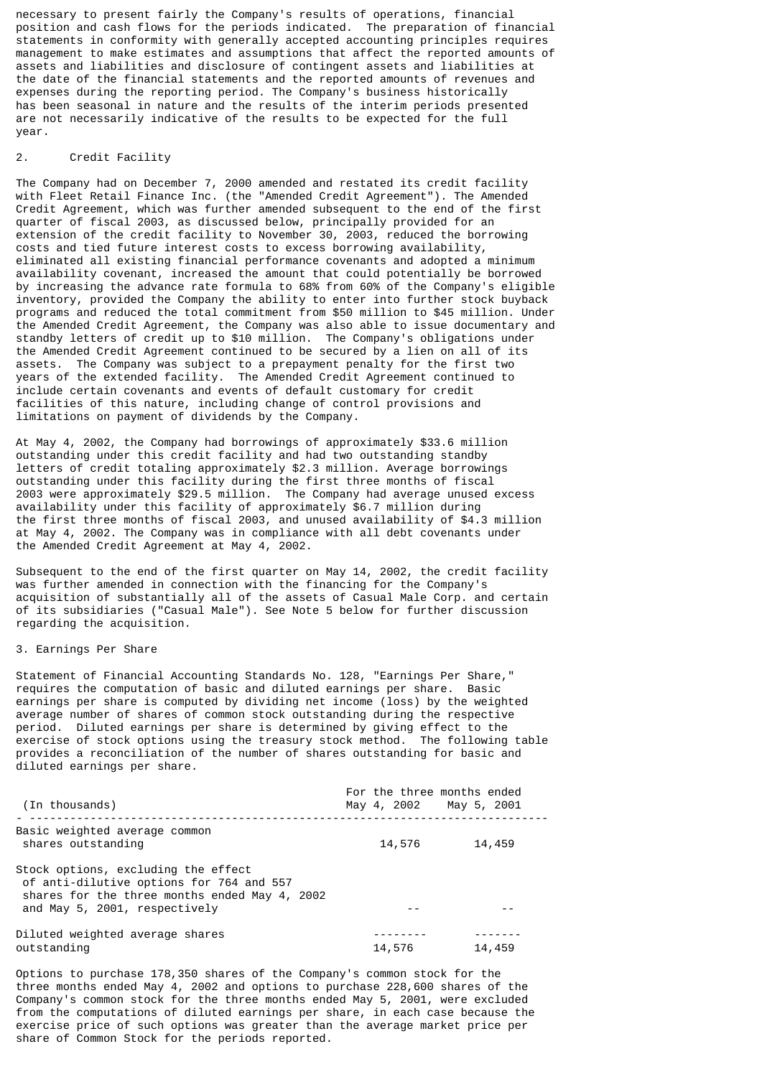necessary to present fairly the Company's results of operations, financial position and cash flows for the periods indicated. The preparation of financial statements in conformity with generally accepted accounting principles requires management to make estimates and assumptions that affect the reported amounts of assets and liabilities and disclosure of contingent assets and liabilities at the date of the financial statements and the reported amounts of revenues and expenses during the reporting period. The Company's business historically has been seasonal in nature and the results of the interim periods presented are not necessarily indicative of the results to be expected for the full year.

#### 2. Credit Facility

The Company had on December 7, 2000 amended and restated its credit facility with Fleet Retail Finance Inc. (the "Amended Credit Agreement"). The Amended Credit Agreement, which was further amended subsequent to the end of the first quarter of fiscal 2003, as discussed below, principally provided for an extension of the credit facility to November 30, 2003, reduced the borrowing costs and tied future interest costs to excess borrowing availability, eliminated all existing financial performance covenants and adopted a minimum availability covenant, increased the amount that could potentially be borrowed by increasing the advance rate formula to 68% from 60% of the Company's eligible inventory, provided the Company the ability to enter into further stock buyback programs and reduced the total commitment from \$50 million to \$45 million. Under the Amended Credit Agreement, the Company was also able to issue documentary and standby letters of credit up to \$10 million. The Company's obligations under the Amended Credit Agreement continued to be secured by a lien on all of its assets. The Company was subject to a prepayment penalty for the first two years of the extended facility. The Amended Credit Agreement continued to include certain covenants and events of default customary for credit facilities of this nature, including change of control provisions and limitations on payment of dividends by the Company.

At May 4, 2002, the Company had borrowings of approximately \$33.6 million outstanding under this credit facility and had two outstanding standby letters of credit totaling approximately \$2.3 million. Average borrowings outstanding under this facility during the first three months of fiscal 2003 were approximately \$29.5 million. The Company had average unused excess availability under this facility of approximately \$6.7 million during the first three months of fiscal 2003, and unused availability of \$4.3 million at May 4, 2002. The Company was in compliance with all debt covenants under the Amended Credit Agreement at May 4, 2002.

Subsequent to the end of the first quarter on May 14, 2002, the credit facility was further amended in connection with the financing for the Company's acquisition of substantially all of the assets of Casual Male Corp. and certain of its subsidiaries ("Casual Male"). See Note 5 below for further discussion regarding the acquisition.

# 3. Earnings Per Share

Statement of Financial Accounting Standards No. 128, "Earnings Per Share," requires the computation of basic and diluted earnings per share. Basic earnings per share is computed by dividing net income (loss) by the weighted average number of shares of common stock outstanding during the respective period. Diluted earnings per share is determined by giving effect to the exercise of stock options using the treasury stock method. The following table provides a reconciliation of the number of shares outstanding for basic and diluted earnings per share.

| (In thousands)                                                                                                                                                    | For the three months ended<br>May 4, 2002 May 5, 2001 |        |
|-------------------------------------------------------------------------------------------------------------------------------------------------------------------|-------------------------------------------------------|--------|
| Basic weighted average common<br>shares outstanding                                                                                                               | 14,576                                                | 14,459 |
| Stock options, excluding the effect<br>of anti-dilutive options for 764 and 557<br>shares for the three months ended May 4, 2002<br>and May 5, 2001, respectively |                                                       |        |
| Diluted weighted average shares<br>outstanding                                                                                                                    | 14,576                                                | 14,459 |

Options to purchase 178,350 shares of the Company's common stock for the three months ended May 4, 2002 and options to purchase 228,600 shares of the Company's common stock for the three months ended May 5, 2001, were excluded from the computations of diluted earnings per share, in each case because the exercise price of such options was greater than the average market price per share of Common Stock for the periods reported.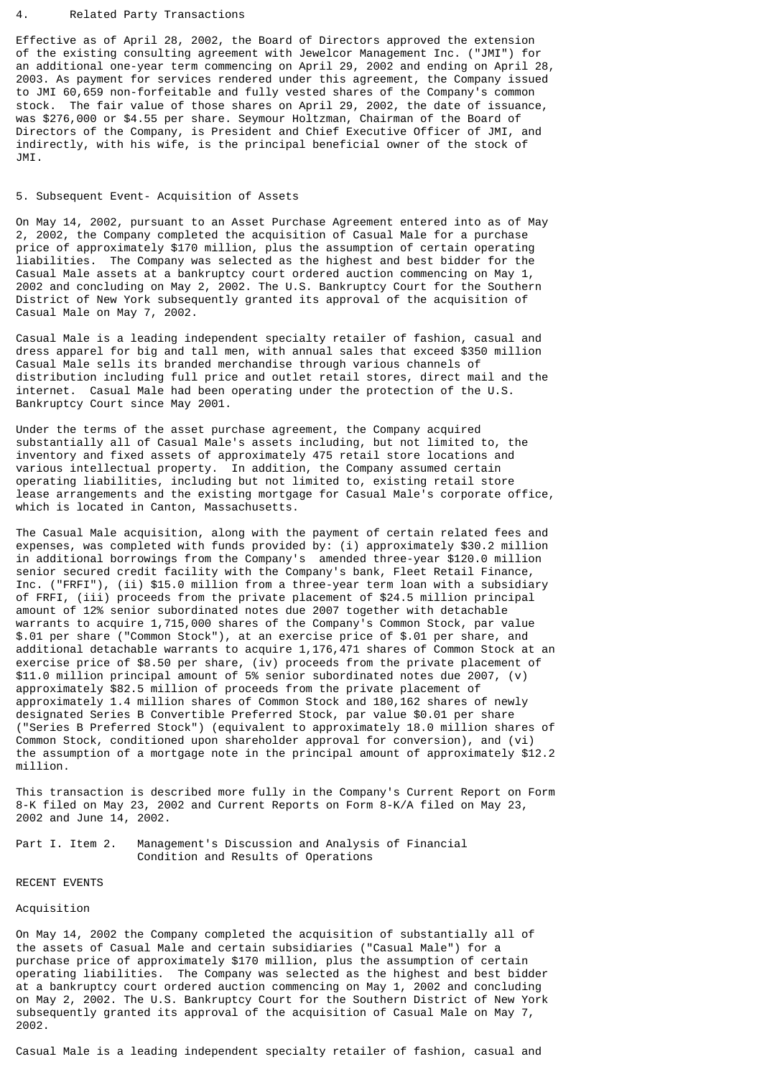## 4. Related Party Transactions

Effective as of April 28, 2002, the Board of Directors approved the extension of the existing consulting agreement with Jewelcor Management Inc. ("JMI") for an additional one-year term commencing on April 29, 2002 and ending on April 28, 2003. As payment for services rendered under this agreement, the Company issued to JMI 60,659 non-forfeitable and fully vested shares of the Company's common stock. The fair value of those shares on April 29, 2002, the date of issuance, was \$276,000 or \$4.55 per share. Seymour Holtzman, Chairman of the Board of Directors of the Company, is President and Chief Executive Officer of JMI, and indirectly, with his wife, is the principal beneficial owner of the stock of JMI.

#### 5. Subsequent Event- Acquisition of Assets

On May 14, 2002, pursuant to an Asset Purchase Agreement entered into as of May 2, 2002, the Company completed the acquisition of Casual Male for a purchase price of approximately \$170 million, plus the assumption of certain operating liabilities. The Company was selected as the highest and best bidder for the Casual Male assets at a bankruptcy court ordered auction commencing on May 1, 2002 and concluding on May 2, 2002. The U.S. Bankruptcy Court for the Southern District of New York subsequently granted its approval of the acquisition of Casual Male on May 7, 2002.

Casual Male is a leading independent specialty retailer of fashion, casual and dress apparel for big and tall men, with annual sales that exceed \$350 million Casual Male sells its branded merchandise through various channels of distribution including full price and outlet retail stores, direct mail and the internet. Casual Male had been operating under the protection of the U.S. Bankruptcy Court since May 2001.

Under the terms of the asset purchase agreement, the Company acquired substantially all of Casual Male's assets including, but not limited to, the inventory and fixed assets of approximately 475 retail store locations and various intellectual property. In addition, the Company assumed certain operating liabilities, including but not limited to, existing retail store lease arrangements and the existing mortgage for Casual Male's corporate office, which is located in Canton, Massachusetts.

The Casual Male acquisition, along with the payment of certain related fees and expenses, was completed with funds provided by: (i) approximately \$30.2 million in additional borrowings from the Company's amended three-year \$120.0 million senior secured credit facility with the Company's bank, Fleet Retail Finance, Inc. ("FRFI"), (ii) \$15.0 million from a three-year term loan with a subsidiary of FRFI, (iii) proceeds from the private placement of \$24.5 million principal amount of 12% senior subordinated notes due 2007 together with detachable warrants to acquire 1,715,000 shares of the Company's Common Stock, par value \$.01 per share ("Common Stock"), at an exercise price of \$.01 per share, and additional detachable warrants to acquire 1,176,471 shares of Common Stock at an exercise price of \$8.50 per share, (iv) proceeds from the private placement of \$11.0 million principal amount of 5% senior subordinated notes due 2007, (v) approximately \$82.5 million of proceeds from the private placement of approximately 1.4 million shares of Common Stock and 180,162 shares of newly designated Series B Convertible Preferred Stock, par value \$0.01 per share ("Series B Preferred Stock") (equivalent to approximately 18.0 million shares of Common Stock, conditioned upon shareholder approval for conversion), and (vi) the assumption of a mortgage note in the principal amount of approximately \$12.2 million.

This transaction is described more fully in the Company's Current Report on Form 8-K filed on May 23, 2002 and Current Reports on Form 8-K/A filed on May 23, 2002 and June 14, 2002.

Part I. Item 2. Management's Discussion and Analysis of Financial Condition and Results of Operations

### RECENT EVENTS

#### Acquisition

On May 14, 2002 the Company completed the acquisition of substantially all of the assets of Casual Male and certain subsidiaries ("Casual Male") for a purchase price of approximately \$170 million, plus the assumption of certain operating liabilities. The Company was selected as the highest and best bidder at a bankruptcy court ordered auction commencing on May 1, 2002 and concluding on May 2, 2002. The U.S. Bankruptcy Court for the Southern District of New York subsequently granted its approval of the acquisition of Casual Male on May 7, 2002.

Casual Male is a leading independent specialty retailer of fashion, casual and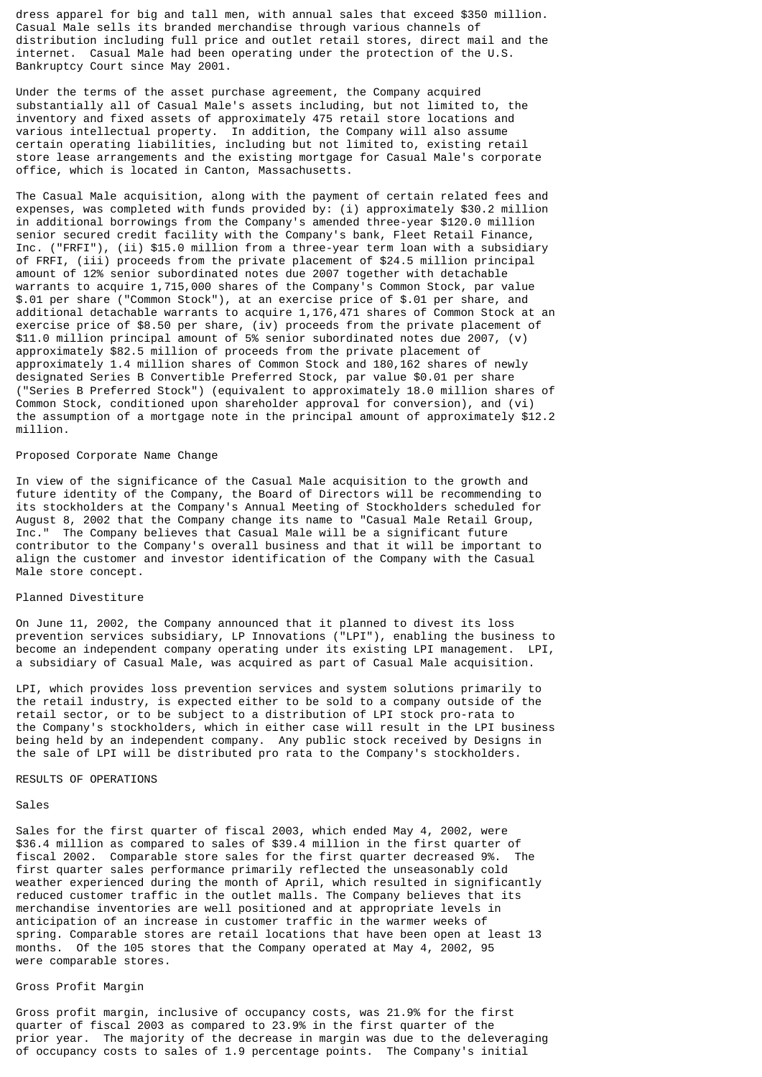dress apparel for big and tall men, with annual sales that exceed \$350 million. Casual Male sells its branded merchandise through various channels of distribution including full price and outlet retail stores, direct mail and the internet. Casual Male had been operating under the protection of the U.S. Bankruptcy Court since May 2001.

Under the terms of the asset purchase agreement, the Company acquired substantially all of Casual Male's assets including, but not limited to, the inventory and fixed assets of approximately 475 retail store locations and various intellectual property. In addition, the Company will also assume certain operating liabilities, including but not limited to, existing retail store lease arrangements and the existing mortgage for Casual Male's corporate office, which is located in Canton, Massachusetts.

The Casual Male acquisition, along with the payment of certain related fees and expenses, was completed with funds provided by: (i) approximately \$30.2 million in additional borrowings from the Company's amended three-year \$120.0 million senior secured credit facility with the Company's bank, Fleet Retail Finance, Inc. ("FRFI"), (ii) \$15.0 million from a three-year term loan with a subsidiary of FRFI, (iii) proceeds from the private placement of \$24.5 million principal amount of 12% senior subordinated notes due 2007 together with detachable warrants to acquire 1,715,000 shares of the Company's Common Stock, par value \$.01 per share ("Common Stock"), at an exercise price of \$.01 per share, and additional detachable warrants to acquire 1,176,471 shares of Common Stock at an exercise price of \$8.50 per share, (iv) proceeds from the private placement of \$11.0 million principal amount of 5% senior subordinated notes due 2007, (v) approximately \$82.5 million of proceeds from the private placement of approximately 1.4 million shares of Common Stock and 180,162 shares of newly designated Series B Convertible Preferred Stock, par value \$0.01 per share ("Series B Preferred Stock") (equivalent to approximately 18.0 million shares of Common Stock, conditioned upon shareholder approval for conversion), and (vi) the assumption of a mortgage note in the principal amount of approximately \$12.2 million.

## Proposed Corporate Name Change

In view of the significance of the Casual Male acquisition to the growth and future identity of the Company, the Board of Directors will be recommending to its stockholders at the Company's Annual Meeting of Stockholders scheduled for August 8, 2002 that the Company change its name to "Casual Male Retail Group, Inc." The Company believes that Casual Male will be a significant future contributor to the Company's overall business and that it will be important to align the customer and investor identification of the Company with the Casual Male store concept.

## Planned Divestiture

On June 11, 2002, the Company announced that it planned to divest its loss prevention services subsidiary, LP Innovations ("LPI"), enabling the business to become an independent company operating under its existing LPI management. LPI, a subsidiary of Casual Male, was acquired as part of Casual Male acquisition.

LPI, which provides loss prevention services and system solutions primarily to the retail industry, is expected either to be sold to a company outside of the retail sector, or to be subject to a distribution of LPI stock pro-rata to the Company's stockholders, which in either case will result in the LPI business being held by an independent company. Any public stock received by Designs in the sale of LPI will be distributed pro rata to the Company's stockholders.

### RESULTS OF OPERATIONS

### Sales

Sales for the first quarter of fiscal 2003, which ended May 4, 2002, were \$36.4 million as compared to sales of \$39.4 million in the first quarter of fiscal 2002. Comparable store sales for the first quarter decreased 9%. The first quarter sales performance primarily reflected the unseasonably cold weather experienced during the month of April, which resulted in significantly reduced customer traffic in the outlet malls. The Company believes that its merchandise inventories are well positioned and at appropriate levels in anticipation of an increase in customer traffic in the warmer weeks of spring. Comparable stores are retail locations that have been open at least 13 months. Of the 105 stores that the Company operated at May 4, 2002, 95 were comparable stores.

# Gross Profit Margin

Gross profit margin, inclusive of occupancy costs, was 21.9% for the first quarter of fiscal 2003 as compared to 23.9% in the first quarter of the prior year. The majority of the decrease in margin was due to the deleveraging of occupancy costs to sales of 1.9 percentage points. The Company's initial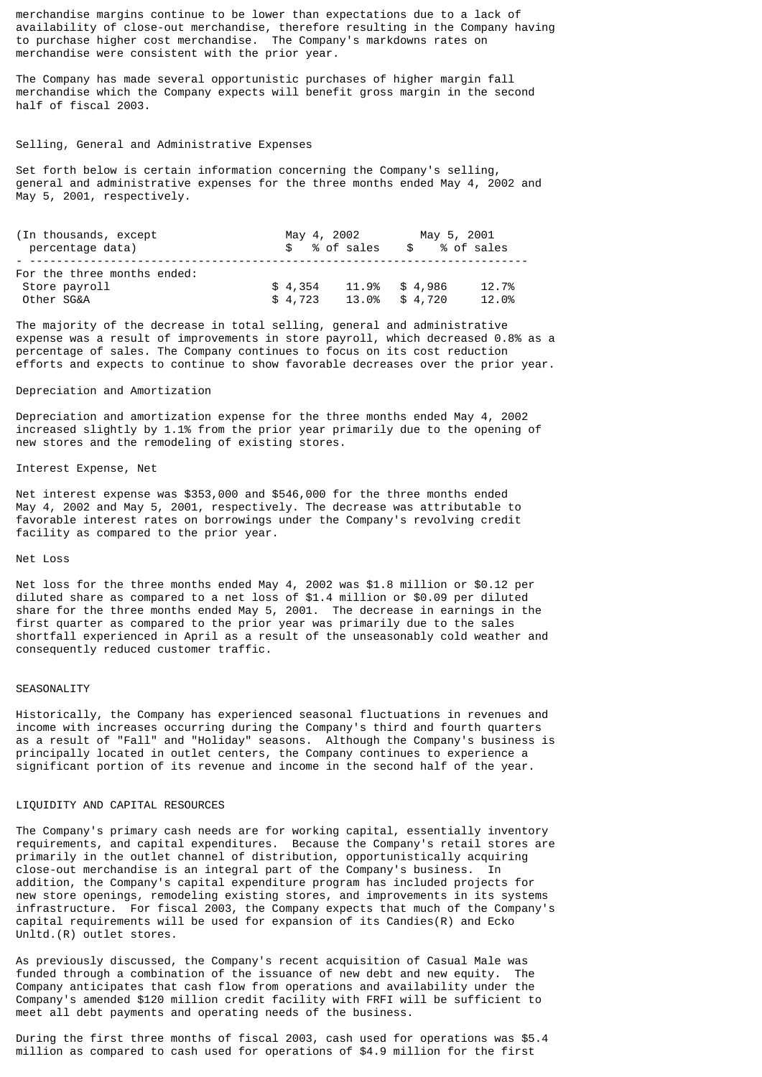merchandise margins continue to be lower than expectations due to a lack of availability of close-out merchandise, therefore resulting in the Company having to purchase higher cost merchandise. The Company's markdowns rates on merchandise were consistent with the prior year.

The Company has made several opportunistic purchases of higher margin fall merchandise which the Company expects will benefit gross margin in the second half of fiscal 2003.

#### Selling, General and Administrative Expenses

Set forth below is certain information concerning the Company's selling, general and administrative expenses for the three months ended May 4, 2002 and May 5, 2001, respectively.

| (In thousands, except)<br>percentage data) | May 4, 2002<br>\$ % of sales |               | May 5, 2001<br>% of sales<br>$\mathfrak{L}$ |       |
|--------------------------------------------|------------------------------|---------------|---------------------------------------------|-------|
| For the three months ended:                |                              |               |                                             |       |
| Store payroll                              | \$4.354                      | 11.9% \$4.986 |                                             | 12.7% |
| Other SG&A                                 | \$4.723                      | 13.0% \$4.720 |                                             | 12.0% |

The majority of the decrease in total selling, general and administrative expense was a result of improvements in store payroll, which decreased 0.8% as a percentage of sales. The Company continues to focus on its cost reduction efforts and expects to continue to show favorable decreases over the prior year.

#### Depreciation and Amortization

Depreciation and amortization expense for the three months ended May 4, 2002 increased slightly by 1.1% from the prior year primarily due to the opening of new stores and the remodeling of existing stores.

## Interest Expense, Net

Net interest expense was \$353,000 and \$546,000 for the three months ended May 4, 2002 and May 5, 2001, respectively. The decrease was attributable to favorable interest rates on borrowings under the Company's revolving credit facility as compared to the prior year.

#### Net Loss

Net loss for the three months ended May 4, 2002 was \$1.8 million or \$0.12 per diluted share as compared to a net loss of \$1.4 million or \$0.09 per diluted share for the three months ended May 5, 2001. The decrease in earnings in the first quarter as compared to the prior year was primarily due to the sales shortfall experienced in April as a result of the unseasonably cold weather and consequently reduced customer traffic.

### SEASONALITY

Historically, the Company has experienced seasonal fluctuations in revenues and income with increases occurring during the Company's third and fourth quarters as a result of "Fall" and "Holiday" seasons. Although the Company's business is principally located in outlet centers, the Company continues to experience a significant portion of its revenue and income in the second half of the year.

## LIQUIDITY AND CAPITAL RESOURCES

The Company's primary cash needs are for working capital, essentially inventory requirements, and capital expenditures. Because the Company's retail stores are primarily in the outlet channel of distribution, opportunistically acquiring close-out merchandise is an integral part of the Company's business. In addition, the Company's capital expenditure program has included projects for new store openings, remodeling existing stores, and improvements in its systems infrastructure. For fiscal 2003, the Company expects that much of the Company's capital requirements will be used for expansion of its Candies(R) and Ecko Unltd.(R) outlet stores.

As previously discussed, the Company's recent acquisition of Casual Male was funded through a combination of the issuance of new debt and new equity. The Company anticipates that cash flow from operations and availability under the Company's amended \$120 million credit facility with FRFI will be sufficient to meet all debt payments and operating needs of the business.

During the first three months of fiscal 2003, cash used for operations was \$5.4 million as compared to cash used for operations of \$4.9 million for the first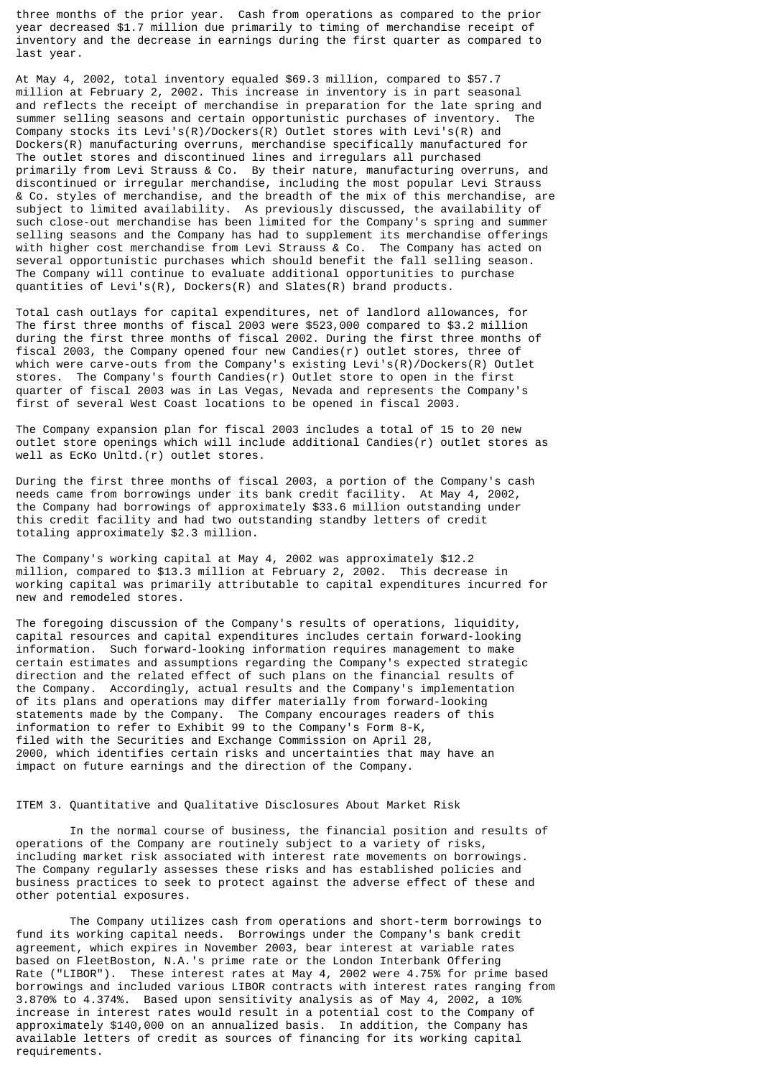three months of the prior year. Cash from operations as compared to the prior year decreased \$1.7 million due primarily to timing of merchandise receipt of inventory and the decrease in earnings during the first quarter as compared to last year.

At May 4, 2002, total inventory equaled \$69.3 million, compared to \$57.7 million at February 2, 2002. This increase in inventory is in part seasonal and reflects the receipt of merchandise in preparation for the late spring and summer selling seasons and certain opportunistic purchases of inventory. Company stocks its Levi's(R)/Dockers(R) Outlet stores with Levi's(R) and Dockers(R) manufacturing overruns, merchandise specifically manufactured for The outlet stores and discontinued lines and irregulars all purchased primarily from Levi Strauss & Co. By their nature, manufacturing overruns, and discontinued or irregular merchandise, including the most popular Levi Strauss & Co. styles of merchandise, and the breadth of the mix of this merchandise, are subject to limited availability. As previously discussed, the availability of such close-out merchandise has been limited for the Company's spring and summer selling seasons and the Company has had to supplement its merchandise offerings with higher cost merchandise from Levi Strauss & Co. The Company has acted on several opportunistic purchases which should benefit the fall selling season. The Company will continue to evaluate additional opportunities to purchase quantities of Levi's(R), Dockers(R) and Slates(R) brand products.

Total cash outlays for capital expenditures, net of landlord allowances, for The first three months of fiscal 2003 were \$523,000 compared to \$3.2 million during the first three months of fiscal 2002. During the first three months of fiscal 2003, the Company opened four new Candies(r) outlet stores, three of which were carve-outs from the Company's existing Levi's(R)/Dockers(R) Outlet stores. The Company's fourth Candies(r) Outlet store to open in the first quarter of fiscal 2003 was in Las Vegas, Nevada and represents the Company's first of several West Coast locations to be opened in fiscal 2003.

The Company expansion plan for fiscal 2003 includes a total of 15 to 20 new outlet store openings which will include additional Candies(r) outlet stores as well as EcKo Unltd.(r) outlet stores.

During the first three months of fiscal 2003, a portion of the Company's cash needs came from borrowings under its bank credit facility. At May 4, 2002, the Company had borrowings of approximately \$33.6 million outstanding under this credit facility and had two outstanding standby letters of credit totaling approximately \$2.3 million.

The Company's working capital at May 4, 2002 was approximately \$12.2 million, compared to \$13.3 million at February 2, 2002. This decrease in working capital was primarily attributable to capital expenditures incurred for new and remodeled stores.

The foregoing discussion of the Company's results of operations, liquidity, capital resources and capital expenditures includes certain forward-looking information. Such forward-looking information requires management to make certain estimates and assumptions regarding the Company's expected strategic direction and the related effect of such plans on the financial results of the Company. Accordingly, actual results and the Company's implementation of its plans and operations may differ materially from forward-looking statements made by the Company. The Company encourages readers of this information to refer to Exhibit 99 to the Company's Form 8-K, filed with the Securities and Exchange Commission on April 28, 2000, which identifies certain risks and uncertainties that may have an impact on future earnings and the direction of the Company.

ITEM 3. Quantitative and Qualitative Disclosures About Market Risk

In the normal course of business, the financial position and results of operations of the Company are routinely subject to a variety of risks, including market risk associated with interest rate movements on borrowings. The Company regularly assesses these risks and has established policies and business practices to seek to protect against the adverse effect of these and other potential exposures.

The Company utilizes cash from operations and short-term borrowings to fund its working capital needs. Borrowings under the Company's bank credit agreement, which expires in November 2003, bear interest at variable rates based on FleetBoston, N.A.'s prime rate or the London Interbank Offering Rate ("LIBOR"). These interest rates at May 4, 2002 were 4.75% for prime based borrowings and included various LIBOR contracts with interest rates ranging from 3.870% to 4.374%. Based upon sensitivity analysis as of May 4, 2002, a 10% increase in interest rates would result in a potential cost to the Company of approximately \$140,000 on an annualized basis. In addition, the Company has available letters of credit as sources of financing for its working capital requirements.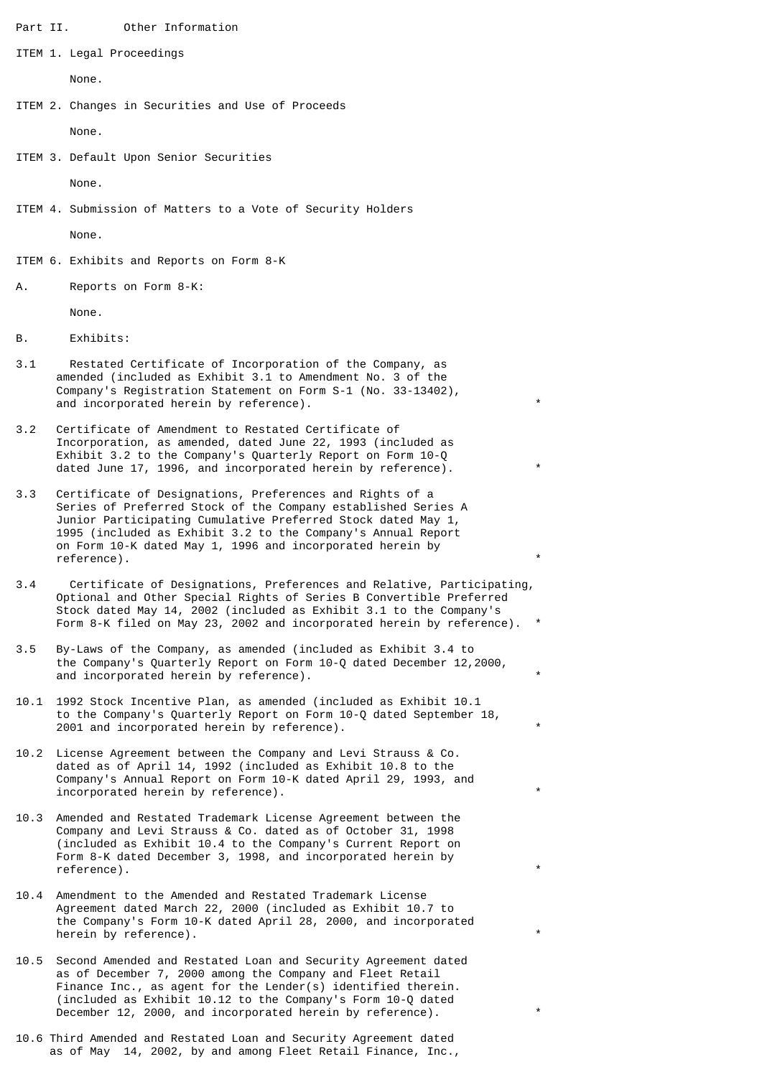### Part II. Other Information

ITEM 1. Legal Proceedings

None.

ITEM 2. Changes in Securities and Use of Proceeds

None.

ITEM 3. Default Upon Senior Securities

None.

ITEM 4. Submission of Matters to a Vote of Security Holders

None.

- ITEM 6. Exhibits and Reports on Form 8-K
- A. Reports on Form 8-K:

None.

- B. Exhibits:
- 3.1 Restated Certificate of Incorporation of the Company, as amended (included as Exhibit 3.1 to Amendment No. 3 of the Company's Registration Statement on Form S-1 (No. 33-13402), and incorporated herein by reference).
- 3.2 Certificate of Amendment to Restated Certificate of Incorporation, as amended, dated June 22, 1993 (included as Exhibit 3.2 to the Company's Quarterly Report on Form 10-Q dated June 17, 1996, and incorporated herein by reference).
- 3.3 Certificate of Designations, Preferences and Rights of a Series of Preferred Stock of the Company established Series A Junior Participating Cumulative Preferred Stock dated May 1, 1995 (included as Exhibit 3.2 to the Company's Annual Report on Form 10-K dated May 1, 1996 and incorporated herein by reference).
- 3.4 Certificate of Designations, Preferences and Relative, Participating, Optional and Other Special Rights of Series B Convertible Preferred Stock dated May 14, 2002 (included as Exhibit 3.1 to the Company's Form 8-K filed on May 23, 2002 and incorporated herein by reference). \*
- 3.5 By-Laws of the Company, as amended (included as Exhibit 3.4 to the Company's Quarterly Report on Form 10-Q dated December 12,2000, and incorporated herein by reference).
- 10.1 1992 Stock Incentive Plan, as amended (included as Exhibit 10.1 to the Company's Quarterly Report on Form 10-Q dated September 18, 2001 and incorporated herein by reference).
- 10.2 License Agreement between the Company and Levi Strauss & Co. dated as of April 14, 1992 (included as Exhibit 10.8 to the Company's Annual Report on Form 10-K dated April 29, 1993, and incorporated herein by reference).
- 10.3 Amended and Restated Trademark License Agreement between the Company and Levi Strauss & Co. dated as of October 31, 1998 (included as Exhibit 10.4 to the Company's Current Report on Form 8-K dated December 3, 1998, and incorporated herein by reference).
- 10.4 Amendment to the Amended and Restated Trademark License Agreement dated March 22, 2000 (included as Exhibit 10.7 to the Company's Form 10-K dated April 28, 2000, and incorporated herein by  $reference$ ).
- 10.5 Second Amended and Restated Loan and Security Agreement dated as of December 7, 2000 among the Company and Fleet Retail Finance Inc., as agent for the Lender(s) identified therein. (included as Exhibit 10.12 to the Company's Form 10-Q dated December 12, 2000, and incorporated herein by reference).
- 10.6 Third Amended and Restated Loan and Security Agreement dated as of May 14, 2002, by and among Fleet Retail Finance, Inc.,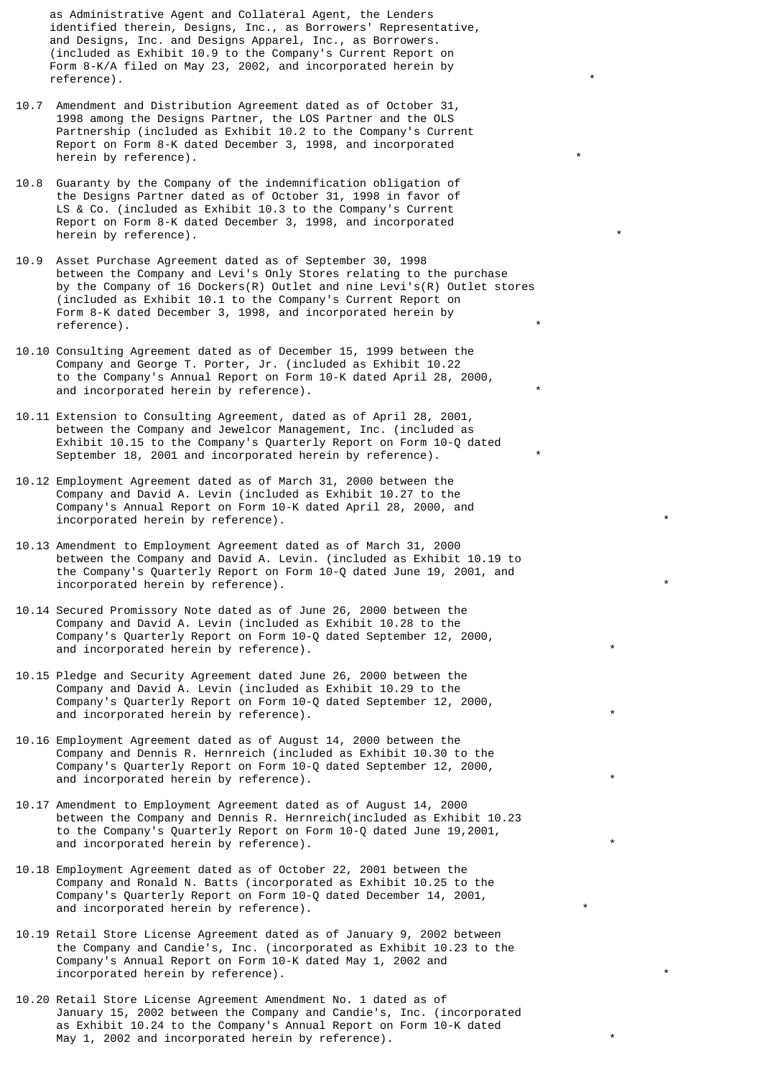as Administrative Agent and Collateral Agent, the Lenders identified therein, Designs, Inc., as Borrowers' Representative, and Designs, Inc. and Designs Apparel, Inc., as Borrowers. (included as Exhibit 10.9 to the Company's Current Report on Form 8-K/A filed on May 23, 2002, and incorporated herein by reference).

- 10.7 Amendment and Distribution Agreement dated as of October 31, 1998 among the Designs Partner, the LOS Partner and the OLS Partnership (included as Exhibit 10.2 to the Company's Current Report on Form 8-K dated December 3, 1998, and incorporated herein by reference).
- 10.8 Guaranty by the Company of the indemnification obligation of the Designs Partner dated as of October 31, 1998 in favor of LS & Co. (included as Exhibit 10.3 to the Company's Current Report on Form 8-K dated December 3, 1998, and incorporated herein by reference).
- 10.9 Asset Purchase Agreement dated as of September 30, 1998 between the Company and Levi's Only Stores relating to the purchase by the Company of 16 Dockers(R) Outlet and nine Levi's(R) Outlet stores (included as Exhibit 10.1 to the Company's Current Report on Form 8-K dated December 3, 1998, and incorporated herein by reference).  $\qquad \qquad \qquad$
- 10.10 Consulting Agreement dated as of December 15, 1999 between the Company and George T. Porter, Jr. (included as Exhibit 10.22 to the Company's Annual Report on Form 10-K dated April 28, 2000, and incorporated herein by reference).
- 10.11 Extension to Consulting Agreement, dated as of April 28, 2001, between the Company and Jewelcor Management, Inc. (included as Exhibit 10.15 to the Company's Quarterly Report on Form 10-Q dated September 18, 2001 and incorporated herein by reference).
- 10.12 Employment Agreement dated as of March 31, 2000 between the Company and David A. Levin (included as Exhibit 10.27 to the Company's Annual Report on Form 10-K dated April 28, 2000, and incorporated herein by reference).
- 10.13 Amendment to Employment Agreement dated as of March 31, 2000 between the Company and David A. Levin. (included as Exhibit 10.19 to the Company's Quarterly Report on Form 10-Q dated June 19, 2001, and incorporated herein by reference).
- 10.14 Secured Promissory Note dated as of June 26, 2000 between the Company and David A. Levin (included as Exhibit 10.28 to the Company's Quarterly Report on Form 10-Q dated September 12, 2000, and incorporated herein by reference).
- 10.15 Pledge and Security Agreement dated June 26, 2000 between the Company and David A. Levin (included as Exhibit 10.29 to the Company's Quarterly Report on Form 10-Q dated September 12, 2000, and incorporated herein by reference).
- 10.16 Employment Agreement dated as of August 14, 2000 between the Company and Dennis R. Hernreich (included as Exhibit 10.30 to the Company's Quarterly Report on Form 10-Q dated September 12, 2000, and incorporated herein by reference).
- 10.17 Amendment to Employment Agreement dated as of August 14, 2000 between the Company and Dennis R. Hernreich(included as Exhibit 10.23 to the Company's Quarterly Report on Form 10-Q dated June 19,2001, and incorporated herein by reference).
- 10.18 Employment Agreement dated as of October 22, 2001 between the Company and Ronald N. Batts (incorporated as Exhibit 10.25 to the Company's Quarterly Report on Form 10-Q dated December 14, 2001, and incorporated herein by reference).
- 10.19 Retail Store License Agreement dated as of January 9, 2002 between the Company and Candie's, Inc. (incorporated as Exhibit 10.23 to the Company's Annual Report on Form 10-K dated May 1, 2002 and incorporated herein by reference).
- 10.20 Retail Store License Agreement Amendment No. 1 dated as of January 15, 2002 between the Company and Candie's, Inc. (incorporated as Exhibit 10.24 to the Company's Annual Report on Form 10-K dated May 1, 2002 and incorporated herein by reference).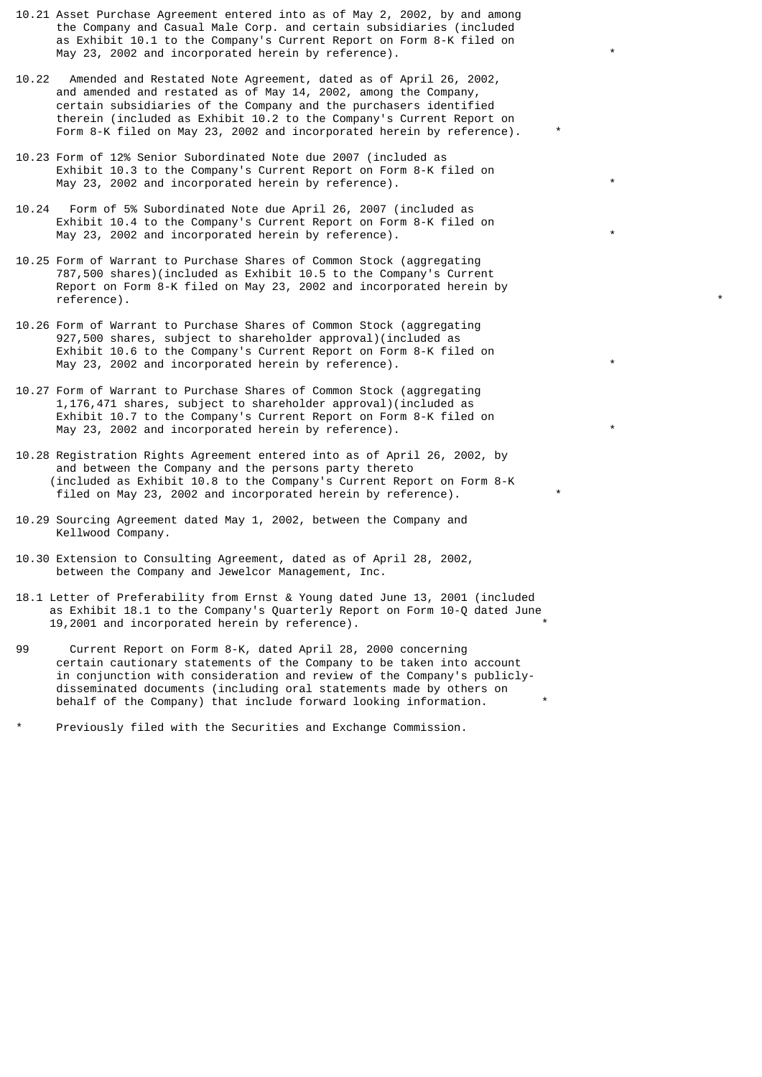- 10.21 Asset Purchase Agreement entered into as of May 2, 2002, by and among the Company and Casual Male Corp. and certain subsidiaries (included as Exhibit 10.1 to the Company's Current Report on Form 8-K filed on May 23, 2002 and incorporated herein by reference).
- 10.22 Amended and Restated Note Agreement, dated as of April 26, 2002, and amended and restated as of May 14, 2002, among the Company, certain subsidiaries of the Company and the purchasers identified therein (included as Exhibit 10.2 to the Company's Current Report on Form 8-K filed on May 23, 2002 and incorporated herein by reference). \*
- 10.23 Form of 12% Senior Subordinated Note due 2007 (included as Exhibit 10.3 to the Company's Current Report on Form 8-K filed on May 23, 2002 and incorporated herein by reference).
- 10.24 Form of 5% Subordinated Note due April 26, 2007 (included as Exhibit 10.4 to the Company's Current Report on Form 8-K filed on May 23, 2002 and incorporated herein by reference).
- 10.25 Form of Warrant to Purchase Shares of Common Stock (aggregating 787,500 shares)(included as Exhibit 10.5 to the Company's Current Report on Form 8-K filed on May 23, 2002 and incorporated herein by reference). \*
- 10.26 Form of Warrant to Purchase Shares of Common Stock (aggregating 927,500 shares, subject to shareholder approval)(included as Exhibit 10.6 to the Company's Current Report on Form 8-K filed on May 23, 2002 and incorporated herein by reference).
- 10.27 Form of Warrant to Purchase Shares of Common Stock (aggregating 1,176,471 shares, subject to shareholder approval)(included as Exhibit 10.7 to the Company's Current Report on Form 8-K filed on May 23, 2002 and incorporated herein by reference).
- 10.28 Registration Rights Agreement entered into as of April 26, 2002, by and between the Company and the persons party thereto (included as Exhibit 10.8 to the Company's Current Report on Form 8-K filed on May 23, 2002 and incorporated herein by reference).
- 10.29 Sourcing Agreement dated May 1, 2002, between the Company and Kellwood Company.
- 10.30 Extension to Consulting Agreement, dated as of April 28, 2002, between the Company and Jewelcor Management, Inc.
- 18.1 Letter of Preferability from Ernst & Young dated June 13, 2001 (included as Exhibit 18.1 to the Company's Quarterly Report on Form 10-Q dated June 19,2001 and incorporated herein by reference).
- 99 Current Report on Form 8-K, dated April 28, 2000 concerning certain cautionary statements of the Company to be taken into account in conjunction with consideration and review of the Company's publicly disseminated documents (including oral statements made by others on behalf of the Company) that include forward looking information.
- Previously filed with the Securities and Exchange Commission.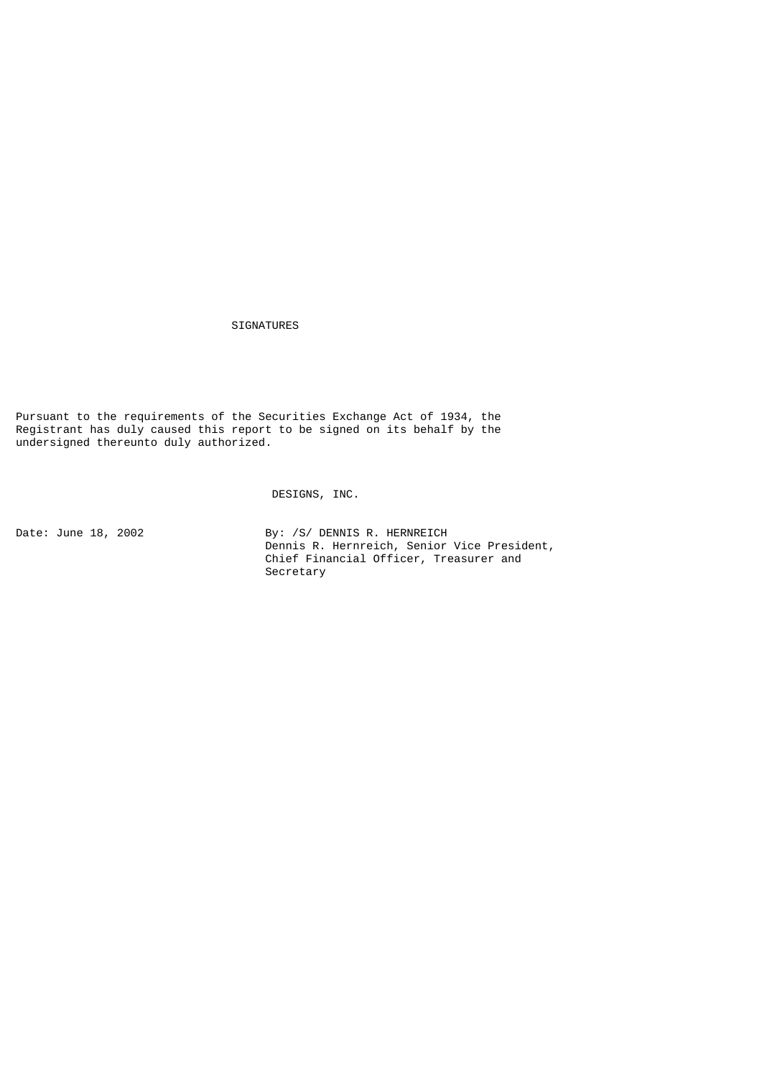SIGNATURES

Pursuant to the requirements of the Securities Exchange Act of 1934, the Registrant has duly caused this report to be signed on its behalf by the undersigned thereunto duly authorized.

DESIGNS, INC.

Date: June 18, 2002 By: /S/ DENNIS R. HERNREICH Dennis R. Hernreich, Senior Vice President, Chief Financial Officer, Treasurer and Secretary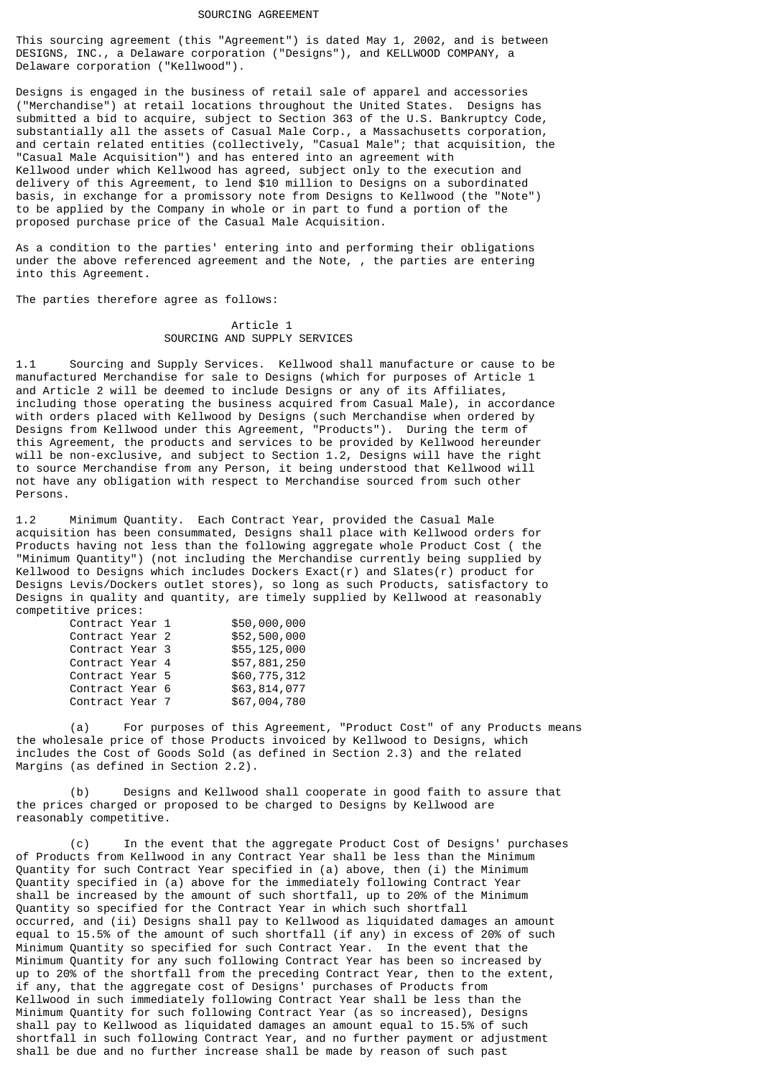#### SOURCING AGREEMENT

This sourcing agreement (this "Agreement") is dated May 1, 2002, and is between DESIGNS, INC., a Delaware corporation ("Designs"), and KELLWOOD COMPANY, a Delaware corporation ("Kellwood").

Designs is engaged in the business of retail sale of apparel and accessories ("Merchandise") at retail locations throughout the United States. Designs has submitted a bid to acquire, subject to Section 363 of the U.S. Bankruptcy Code, substantially all the assets of Casual Male Corp., a Massachusetts corporation, and certain related entities (collectively, "Casual Male"; that acquisition, the "Casual Male Acquisition") and has entered into an agreement with Kellwood under which Kellwood has agreed, subject only to the execution and delivery of this Agreement, to lend \$10 million to Designs on a subordinated basis, in exchange for a promissory note from Designs to Kellwood (the "Note") to be applied by the Company in whole or in part to fund a portion of the proposed purchase price of the Casual Male Acquisition.

As a condition to the parties' entering into and performing their obligations under the above referenced agreement and the Note, , the parties are entering into this Agreement.

The parties therefore agree as follows:

### Article 1 SOURCING AND SUPPLY SERVICES

1.1 Sourcing and Supply Services. Kellwood shall manufacture or cause to be manufactured Merchandise for sale to Designs (which for purposes of Article 1 and Article 2 will be deemed to include Designs or any of its Affiliates, including those operating the business acquired from Casual Male), in accordance with orders placed with Kellwood by Designs (such Merchandise when ordered by Designs from Kellwood under this Agreement, "Products"). During the term of this Agreement, the products and services to be provided by Kellwood hereunder will be non-exclusive, and subject to Section 1.2, Designs will have the right to source Merchandise from any Person, it being understood that Kellwood will not have any obligation with respect to Merchandise sourced from such other Persons.

1.2 Minimum Quantity. Each Contract Year, provided the Casual Male acquisition has been consummated, Designs shall place with Kellwood orders for Products having not less than the following aggregate whole Product Cost ( the "Minimum Quantity") (not including the Merchandise currently being supplied by Kellwood to Designs which includes Dockers Exact(r) and Slates(r) product for Designs Levis/Dockers outlet stores), so long as such Products, satisfactory to Designs in quality and quantity, are timely supplied by Kellwood at reasonably competitive prices:

|  | \$50,000,000                                                                                                                      |
|--|-----------------------------------------------------------------------------------------------------------------------------------|
|  | \$52,500,000                                                                                                                      |
|  | \$55,125,000                                                                                                                      |
|  | \$57,881,250                                                                                                                      |
|  | \$60,775,312                                                                                                                      |
|  | \$63,814,077                                                                                                                      |
|  | \$67,004,780                                                                                                                      |
|  | Contract Year 1<br>Contract Year 2<br>Contract Year 3<br>Contract Year 4<br>Contract Year 5<br>Contract Year 6<br>Contract Year 7 |

(a) For purposes of this Agreement, "Product Cost" of any Products means the wholesale price of those Products invoiced by Kellwood to Designs, which includes the Cost of Goods Sold (as defined in Section 2.3) and the related Margins (as defined in Section 2.2).

(b) Designs and Kellwood shall cooperate in good faith to assure that the prices charged or proposed to be charged to Designs by Kellwood are reasonably competitive.

(c) In the event that the aggregate Product Cost of Designs' purchases of Products from Kellwood in any Contract Year shall be less than the Minimum Quantity for such Contract Year specified in (a) above, then (i) the Minimum Quantity specified in (a) above for the immediately following Contract Year shall be increased by the amount of such shortfall, up to 20% of the Minimum Quantity so specified for the Contract Year in which such shortfall occurred, and (ii) Designs shall pay to Kellwood as liquidated damages an amount equal to 15.5% of the amount of such shortfall (if any) in excess of 20% of such Minimum Quantity so specified for such Contract Year. In the event that the Minimum Quantity for any such following Contract Year has been so increased by up to 20% of the shortfall from the preceding Contract Year, then to the extent, if any, that the aggregate cost of Designs' purchases of Products from Kellwood in such immediately following Contract Year shall be less than the Minimum Quantity for such following Contract Year (as so increased), Designs shall pay to Kellwood as liquidated damages an amount equal to 15.5% of such shortfall in such following Contract Year, and no further payment or adjustment shall be due and no further increase shall be made by reason of such past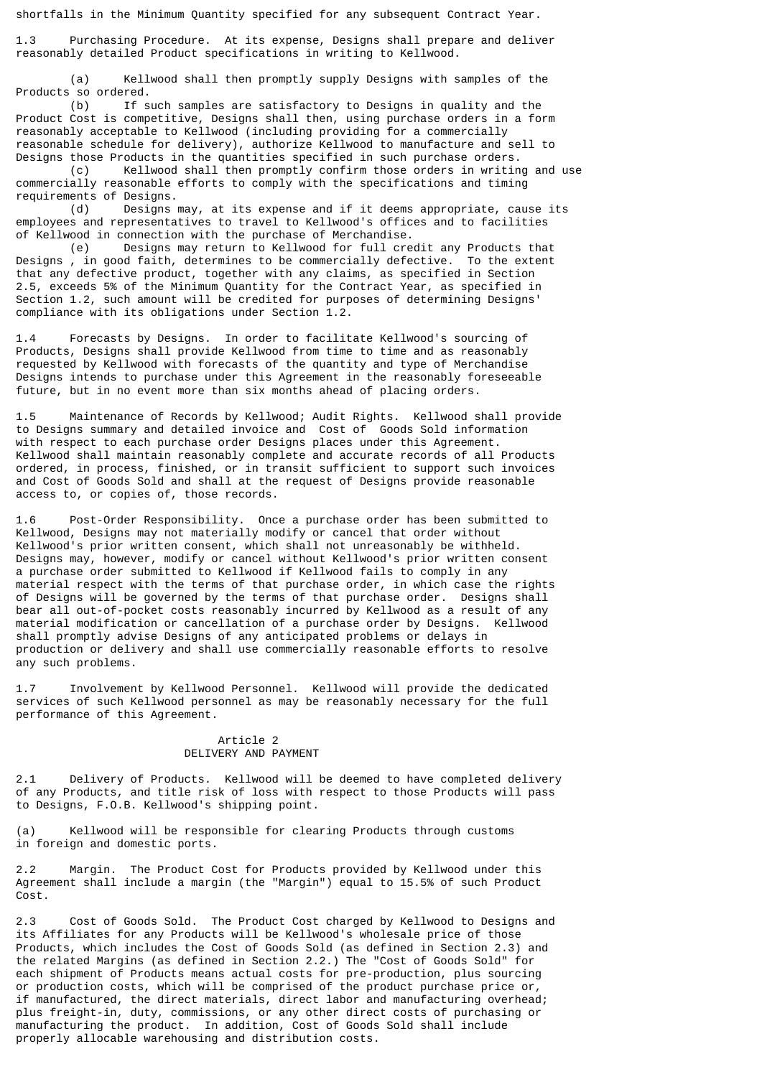shortfalls in the Minimum Quantity specified for any subsequent Contract Year.

1.3 Purchasing Procedure. At its expense, Designs shall prepare and deliver reasonably detailed Product specifications in writing to Kellwood.

(a) Kellwood shall then promptly supply Designs with samples of the Products so ordered.

(b) If such samples are satisfactory to Designs in quality and the Product Cost is competitive, Designs shall then, using purchase orders in a form reasonably acceptable to Kellwood (including providing for a commercially reasonable schedule for delivery), authorize Kellwood to manufacture and sell to

Designs those Products in the quantities specified in such purchase orders.<br>(c) Kellwood shall then promptly confirm those orders in writin Kellwood shall then promptly confirm those orders in writing and use commercially reasonable efforts to comply with the specifications and timing requirements of Designs.<br>(d) Designs

Designs may, at its expense and if it deems appropriate, cause its employees and representatives to travel to Kellwood's offices and to facilities of Kellwood in connection with the purchase of Merchandise.<br>(e) Designs may return to Kellwood for full cre

Designs may return to Kellwood for full credit any Products that Designs , in good faith, determines to be commercially defective. To the extent that any defective product, together with any claims, as specified in Section 2.5, exceeds 5% of the Minimum Quantity for the Contract Year, as specified in Section 1.2, such amount will be credited for purposes of determining Designs' compliance with its obligations under Section 1.2.

1.4 Forecasts by Designs. In order to facilitate Kellwood's sourcing of Products, Designs shall provide Kellwood from time to time and as reasonably requested by Kellwood with forecasts of the quantity and type of Merchandise Designs intends to purchase under this Agreement in the reasonably foreseeable future, but in no event more than six months ahead of placing orders.

1.5 Maintenance of Records by Kellwood; Audit Rights. Kellwood shall provide to Designs summary and detailed invoice and Cost of Goods Sold information with respect to each purchase order Designs places under this Agreement. Kellwood shall maintain reasonably complete and accurate records of all Products ordered, in process, finished, or in transit sufficient to support such invoices and Cost of Goods Sold and shall at the request of Designs provide reasonable access to, or copies of, those records.

1.6 Post-Order Responsibility. Once a purchase order has been submitted to Kellwood, Designs may not materially modify or cancel that order without Kellwood's prior written consent, which shall not unreasonably be withheld. Designs may, however, modify or cancel without Kellwood's prior written consent a purchase order submitted to Kellwood if Kellwood fails to comply in any material respect with the terms of that purchase order, in which case the rights of Designs will be governed by the terms of that purchase order. Designs shall bear all out-of-pocket costs reasonably incurred by Kellwood as a result of any material modification or cancellation of a purchase order by Designs. Kellwood shall promptly advise Designs of any anticipated problems or delays in production or delivery and shall use commercially reasonable efforts to resolve any such problems.

1.7 Involvement by Kellwood Personnel. Kellwood will provide the dedicated services of such Kellwood personnel as may be reasonably necessary for the full performance of this Agreement.

# Article 2 DELIVERY AND PAYMENT

2.1 Delivery of Products. Kellwood will be deemed to have completed delivery of any Products, and title risk of loss with respect to those Products will pass to Designs, F.O.B. Kellwood's shipping point.

(a) Kellwood will be responsible for clearing Products through customs in foreign and domestic ports.

2.2 Margin. The Product Cost for Products provided by Kellwood under this Agreement shall include a margin (the "Margin") equal to 15.5% of such Product Cost.

2.3 Cost of Goods Sold. The Product Cost charged by Kellwood to Designs and its Affiliates for any Products will be Kellwood's wholesale price of those Products, which includes the Cost of Goods Sold (as defined in Section 2.3) and the related Margins (as defined in Section 2.2.) The "Cost of Goods Sold" for each shipment of Products means actual costs for pre-production, plus sourcing or production costs, which will be comprised of the product purchase price or, if manufactured, the direct materials, direct labor and manufacturing overhead; plus freight-in, duty, commissions, or any other direct costs of purchasing or manufacturing the product. In addition, Cost of Goods Sold shall include properly allocable warehousing and distribution costs.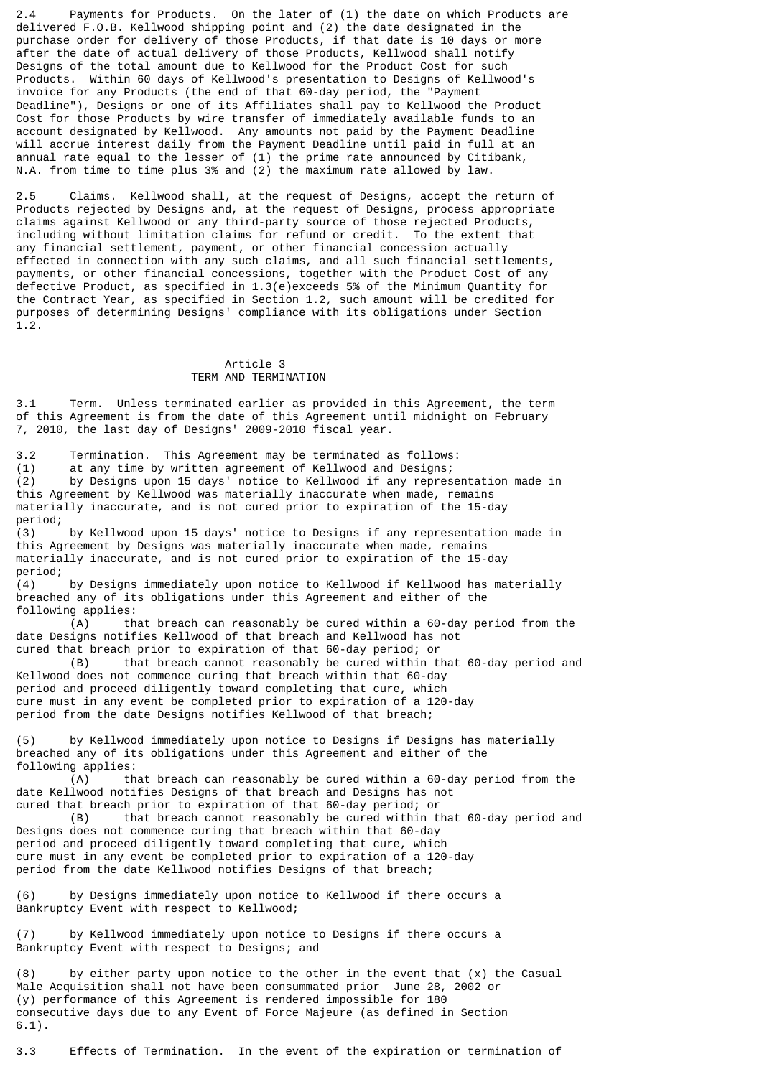2.4 Payments for Products. On the later of (1) the date on which Products are delivered F.O.B. Kellwood shipping point and (2) the date designated in the purchase order for delivery of those Products, if that date is 10 days or more after the date of actual delivery of those Products, Kellwood shall notify Designs of the total amount due to Kellwood for the Product Cost for such Products. Within 60 days of Kellwood's presentation to Designs of Kellwood's invoice for any Products (the end of that 60-day period, the "Payment Deadline"), Designs or one of its Affiliates shall pay to Kellwood the Product Cost for those Products by wire transfer of immediately available funds to an account designated by Kellwood. Any amounts not paid by the Payment Deadline will accrue interest daily from the Payment Deadline until paid in full at an annual rate equal to the lesser of (1) the prime rate announced by Citibank, N.A. from time to time plus 3% and (2) the maximum rate allowed by law.

2.5 Claims. Kellwood shall, at the request of Designs, accept the return of Products rejected by Designs and, at the request of Designs, process appropriate claims against Kellwood or any third-party source of those rejected Products, including without limitation claims for refund or credit. To the extent that any financial settlement, payment, or other financial concession actually effected in connection with any such claims, and all such financial settlements, payments, or other financial concessions, together with the Product Cost of any defective Product, as specified in 1.3(e)exceeds 5% of the Minimum Quantity for the Contract Year, as specified in Section 1.2, such amount will be credited for purposes of determining Designs' compliance with its obligations under Section 1.2.

# Article 3 TERM AND TERMINATION

3.1 Term. Unless terminated earlier as provided in this Agreement, the term of this Agreement is from the date of this Agreement until midnight on February 7, 2010, the last day of Designs' 2009-2010 fiscal year.

3.2 Termination. This Agreement may be terminated as follows:

(1) at any time by written agreement of Kellwood and Designs;

(2) by Designs upon 15 days' notice to Kellwood if any representation made in this Agreement by Kellwood was materially inaccurate when made, remains materially inaccurate, and is not cured prior to expiration of the 15-day period;

(3) by Kellwood upon 15 days' notice to Designs if any representation made in this Agreement by Designs was materially inaccurate when made, remains materially inaccurate, and is not cured prior to expiration of the 15-day period;

(4) by Designs immediately upon notice to Kellwood if Kellwood has materially breached any of its obligations under this Agreement and either of the following applies:

(A) that breach can reasonably be cured within a 60-day period from the date Designs notifies Kellwood of that breach and Kellwood has not cured that breach prior to expiration of that 60-day period; or

(B) that breach cannot reasonably be cured within that 60-day period and Kellwood does not commence curing that breach within that 60-day period and proceed diligently toward completing that cure, which cure must in any event be completed prior to expiration of a 120-day period from the date Designs notifies Kellwood of that breach;

(5) by Kellwood immediately upon notice to Designs if Designs has materially breached any of its obligations under this Agreement and either of the following applies:

(A) that breach can reasonably be cured within a 60-day period from the date Kellwood notifies Designs of that breach and Designs has not cured that breach prior to expiration of that 60-day period; or

(B) that breach cannot reasonably be cured within that 60-day period and Designs does not commence curing that breach within that 60-day period and proceed diligently toward completing that cure, which cure must in any event be completed prior to expiration of a 120-day period from the date Kellwood notifies Designs of that breach;

(6) by Designs immediately upon notice to Kellwood if there occurs a Bankruptcy Event with respect to Kellwood;

(7) by Kellwood immediately upon notice to Designs if there occurs a Bankruptcy Event with respect to Designs; and

(8) by either party upon notice to the other in the event that (x) the Casual Male Acquisition shall not have been consummated prior June 28, 2002 or (y) performance of this Agreement is rendered impossible for 180 consecutive days due to any Event of Force Majeure (as defined in Section 6.1).

3.3 Effects of Termination. In the event of the expiration or termination of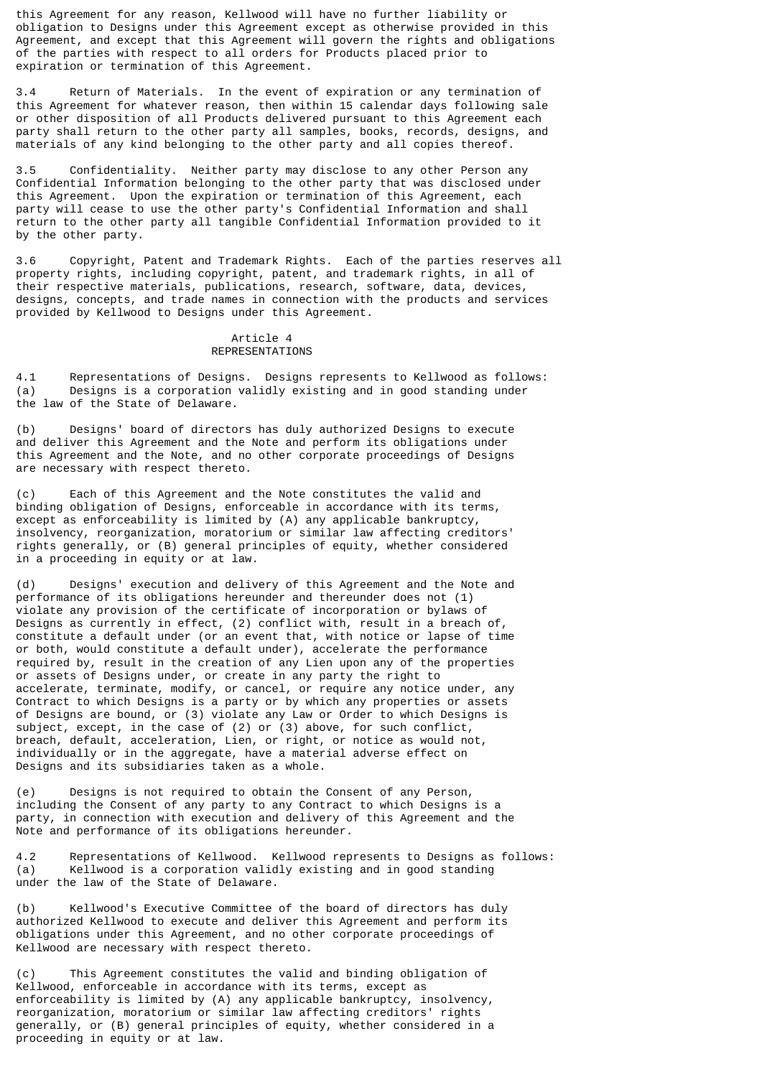this Agreement for any reason, Kellwood will have no further liability or obligation to Designs under this Agreement except as otherwise provided in this Agreement, and except that this Agreement will govern the rights and obligations of the parties with respect to all orders for Products placed prior to expiration or termination of this Agreement.

3.4 Return of Materials. In the event of expiration or any termination of this Agreement for whatever reason, then within 15 calendar days following sale or other disposition of all Products delivered pursuant to this Agreement each party shall return to the other party all samples, books, records, designs, and materials of any kind belonging to the other party and all copies thereof.

3.5 Confidentiality. Neither party may disclose to any other Person any Confidential Information belonging to the other party that was disclosed under this Agreement. Upon the expiration or termination of this Agreement, each party will cease to use the other party's Confidential Information and shall return to the other party all tangible Confidential Information provided to it by the other party.

3.6 Copyright, Patent and Trademark Rights. Each of the parties reserves all property rights, including copyright, patent, and trademark rights, in all of their respective materials, publications, research, software, data, devices, designs, concepts, and trade names in connection with the products and services provided by Kellwood to Designs under this Agreement.

## Article 4 REPRESENTATIONS

4.1 Representations of Designs. Designs represents to Kellwood as follows: (a) Designs is a corporation validly existing and in good standing under the law of the State of Delaware.

(b) Designs' board of directors has duly authorized Designs to execute and deliver this Agreement and the Note and perform its obligations under this Agreement and the Note, and no other corporate proceedings of Designs are necessary with respect thereto.

(c) Each of this Agreement and the Note constitutes the valid and binding obligation of Designs, enforceable in accordance with its terms, except as enforceability is limited by (A) any applicable bankruptcy, insolvency, reorganization, moratorium or similar law affecting creditors' rights generally, or (B) general principles of equity, whether considered in a proceeding in equity or at law.

(d) Designs' execution and delivery of this Agreement and the Note and performance of its obligations hereunder and thereunder does not (1) violate any provision of the certificate of incorporation or bylaws of Designs as currently in effect, (2) conflict with, result in a breach of, constitute a default under (or an event that, with notice or lapse of time or both, would constitute a default under), accelerate the performance required by, result in the creation of any Lien upon any of the properties or assets of Designs under, or create in any party the right to accelerate, terminate, modify, or cancel, or require any notice under, any Contract to which Designs is a party or by which any properties or assets of Designs are bound, or (3) violate any Law or Order to which Designs is subject, except, in the case of (2) or (3) above, for such conflict, breach, default, acceleration, Lien, or right, or notice as would not, individually or in the aggregate, have a material adverse effect on Designs and its subsidiaries taken as a whole.

(e) Designs is not required to obtain the Consent of any Person, including the Consent of any party to any Contract to which Designs is a party, in connection with execution and delivery of this Agreement and the Note and performance of its obligations hereunder.

4.2 Representations of Kellwood. Kellwood represents to Designs as follows: (a) Kellwood is a corporation validly existing and in good standing under the law of the State of Delaware.

(b) Kellwood's Executive Committee of the board of directors has duly authorized Kellwood to execute and deliver this Agreement and perform its obligations under this Agreement, and no other corporate proceedings of Kellwood are necessary with respect thereto.

(c) This Agreement constitutes the valid and binding obligation of Kellwood, enforceable in accordance with its terms, except as enforceability is limited by (A) any applicable bankruptcy, insolvency, reorganization, moratorium or similar law affecting creditors' rights generally, or (B) general principles of equity, whether considered in a proceeding in equity or at law.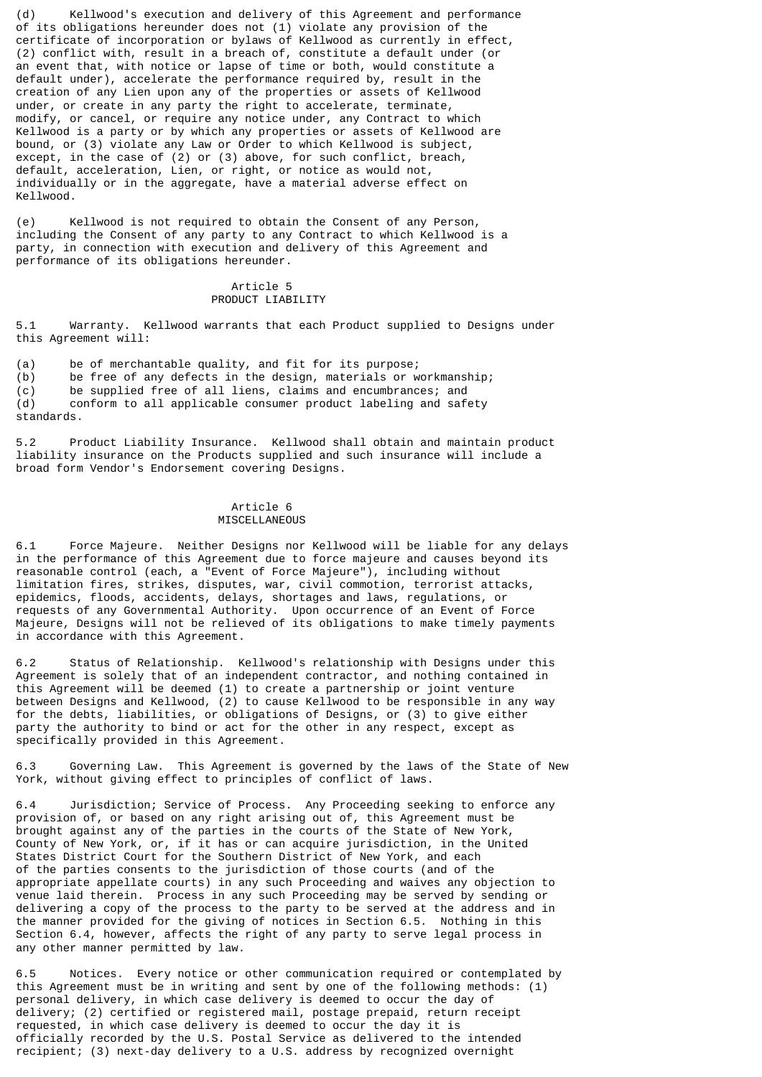(d) Kellwood's execution and delivery of this Agreement and performance of its obligations hereunder does not (1) violate any provision of the certificate of incorporation or bylaws of Kellwood as currently in effect, (2) conflict with, result in a breach of, constitute a default under (or an event that, with notice or lapse of time or both, would constitute a default under), accelerate the performance required by, result in the creation of any Lien upon any of the properties or assets of Kellwood under, or create in any party the right to accelerate, terminate, modify, or cancel, or require any notice under, any Contract to which Kellwood is a party or by which any properties or assets of Kellwood are bound, or (3) violate any Law or Order to which Kellwood is subject, except, in the case of (2) or (3) above, for such conflict, breach, default, acceleration, Lien, or right, or notice as would not, individually or in the aggregate, have a material adverse effect on Kellwood.

(e) Kellwood is not required to obtain the Consent of any Person, including the Consent of any party to any Contract to which Kellwood is a party, in connection with execution and delivery of this Agreement and performance of its obligations hereunder.

### Article 5 PRODUCT LIABILITY

5.1 Warranty. Kellwood warrants that each Product supplied to Designs under this Agreement will:

(a) be of merchantable quality, and fit for its purpose;

(b) be free of any defects in the design, materials or workmanship;

(c) be supplied free of all liens, claims and encumbrances; and conform to all applicable consumer product labeling and safety

standards.

5.2 Product Liability Insurance. Kellwood shall obtain and maintain product liability insurance on the Products supplied and such insurance will include a broad form Vendor's Endorsement covering Designs.

### Article 6 MISCELLANEOUS

6.1 Force Majeure. Neither Designs nor Kellwood will be liable for any delays in the performance of this Agreement due to force majeure and causes beyond its reasonable control (each, a "Event of Force Majeure"), including without limitation fires, strikes, disputes, war, civil commotion, terrorist attacks, epidemics, floods, accidents, delays, shortages and laws, regulations, or requests of any Governmental Authority. Upon occurrence of an Event of Force Majeure, Designs will not be relieved of its obligations to make timely payments in accordance with this Agreement.

6.2 Status of Relationship. Kellwood's relationship with Designs under this Agreement is solely that of an independent contractor, and nothing contained in this Agreement will be deemed (1) to create a partnership or joint venture between Designs and Kellwood, (2) to cause Kellwood to be responsible in any way for the debts, liabilities, or obligations of Designs, or (3) to give either party the authority to bind or act for the other in any respect, except as specifically provided in this Agreement.

6.3 Governing Law. This Agreement is governed by the laws of the State of New York, without giving effect to principles of conflict of laws.

6.4 Jurisdiction; Service of Process. Any Proceeding seeking to enforce any provision of, or based on any right arising out of, this Agreement must be brought against any of the parties in the courts of the State of New York, County of New York, or, if it has or can acquire jurisdiction, in the United States District Court for the Southern District of New York, and each of the parties consents to the jurisdiction of those courts (and of the appropriate appellate courts) in any such Proceeding and waives any objection to venue laid therein. Process in any such Proceeding may be served by sending or delivering a copy of the process to the party to be served at the address and in the manner provided for the giving of notices in Section 6.5. Nothing in this Section 6.4, however, affects the right of any party to serve legal process in any other manner permitted by law.

6.5 Notices. Every notice or other communication required or contemplated by this Agreement must be in writing and sent by one of the following methods: (1) personal delivery, in which case delivery is deemed to occur the day of delivery; (2) certified or registered mail, postage prepaid, return receipt requested, in which case delivery is deemed to occur the day it is officially recorded by the U.S. Postal Service as delivered to the intended recipient; (3) next-day delivery to a U.S. address by recognized overnight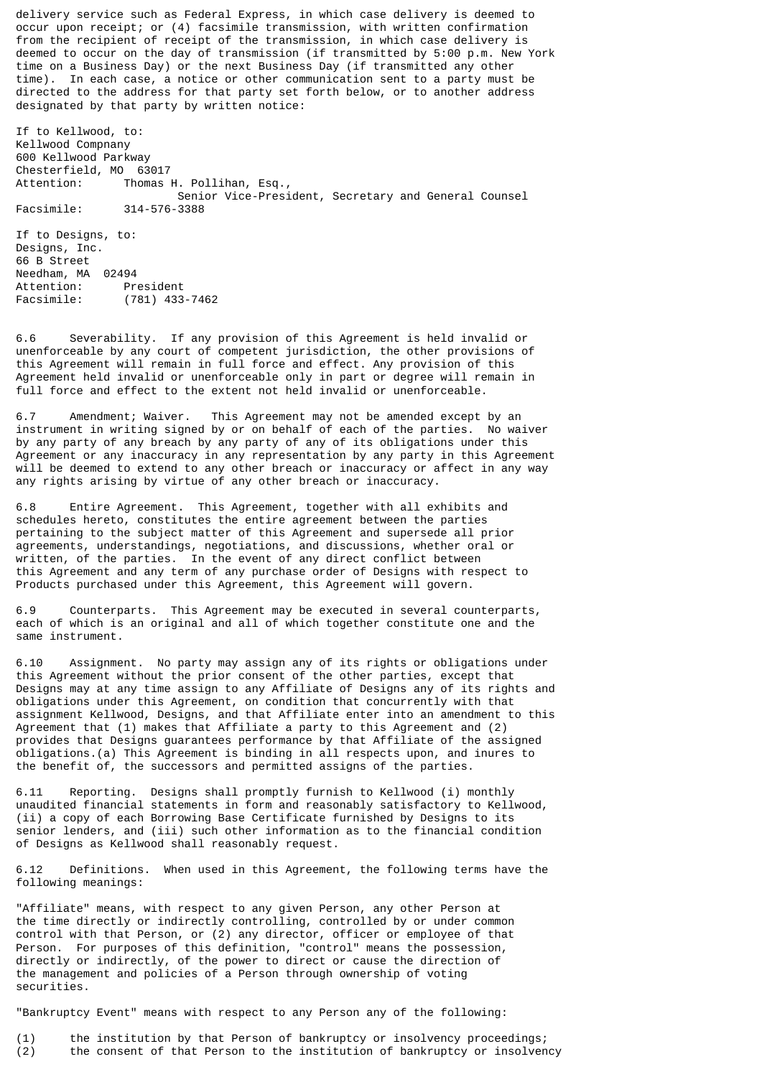delivery service such as Federal Express, in which case delivery is deemed to occur upon receipt; or (4) facsimile transmission, with written confirmation from the recipient of receipt of the transmission, in which case delivery is deemed to occur on the day of transmission (if transmitted by 5:00 p.m. New York time on a Business Day) or the next Business Day (if transmitted any other time). In each case, a notice or other communication sent to a party must be directed to the address for that party set forth below, or to another address designated by that party by written notice:

If to Kellwood, to: Kellwood Compnany 600 Kellwood Parkway Chesterfield, MO 63017 Attention: Thomas H. Pollihan, Esq., Senior Vice-President, Secretary and General Counsel Facsimile: 314-576-3388

If to Designs, to: Designs, Inc. 66 B Street Needham, MA 02494<br>Attention: Pre Attention: President<br>Facsimile: (781) 433 (781) 433-7462

6.6 Severability. If any provision of this Agreement is held invalid or unenforceable by any court of competent jurisdiction, the other provisions of this Agreement will remain in full force and effect. Any provision of this Agreement held invalid or unenforceable only in part or degree will remain in full force and effect to the extent not held invalid or unenforceable.

6.7 Amendment; Waiver. This Agreement may not be amended except by an instrument in writing signed by or on behalf of each of the parties. No waiver by any party of any breach by any party of any of its obligations under this Agreement or any inaccuracy in any representation by any party in this Agreement will be deemed to extend to any other breach or inaccuracy or affect in any way any rights arising by virtue of any other breach or inaccuracy.

6.8 Entire Agreement. This Agreement, together with all exhibits and schedules hereto, constitutes the entire agreement between the parties pertaining to the subject matter of this Agreement and supersede all prior agreements, understandings, negotiations, and discussions, whether oral or written, of the parties. In the event of any direct conflict between this Agreement and any term of any purchase order of Designs with respect to Products purchased under this Agreement, this Agreement will govern.

6.9 Counterparts. This Agreement may be executed in several counterparts, each of which is an original and all of which together constitute one and the same instrument.

6.10 Assignment. No party may assign any of its rights or obligations under this Agreement without the prior consent of the other parties, except that Designs may at any time assign to any Affiliate of Designs any of its rights and obligations under this Agreement, on condition that concurrently with that assignment Kellwood, Designs, and that Affiliate enter into an amendment to this Agreement that (1) makes that Affiliate a party to this Agreement and (2) provides that Designs guarantees performance by that Affiliate of the assigned obligations.(a) This Agreement is binding in all respects upon, and inures to the benefit of, the successors and permitted assigns of the parties.

6.11 Reporting. Designs shall promptly furnish to Kellwood (i) monthly unaudited financial statements in form and reasonably satisfactory to Kellwood, (ii) a copy of each Borrowing Base Certificate furnished by Designs to its senior lenders, and (iii) such other information as to the financial condition of Designs as Kellwood shall reasonably request.

6.12 Definitions. When used in this Agreement, the following terms have the following meanings:

"Affiliate" means, with respect to any given Person, any other Person at the time directly or indirectly controlling, controlled by or under common control with that Person, or  $(2)$  any director, officer or employee of that Person. For purposes of this definition, "control" means the possession, directly or indirectly, of the power to direct or cause the direction of the management and policies of a Person through ownership of voting securities.

"Bankruptcy Event" means with respect to any Person any of the following:

(1) the institution by that Person of bankruptcy or insolvency proceedings; (2) the consent of that Person to the institution of bankruptcy or insolvency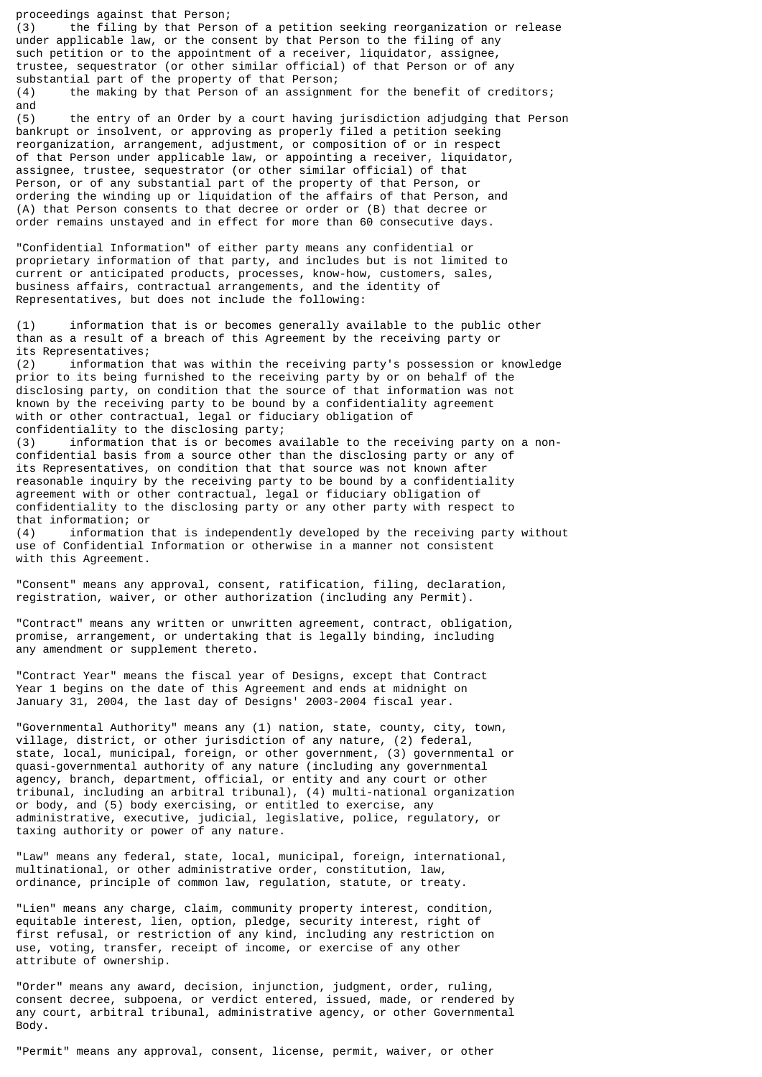proceedings against that Person; (3) the filing by that Person of a petition seeking reorganization or release under applicable law, or the consent by that Person to the filing of any such petition or to the appointment of a receiver, liquidator, assignee, trustee, sequestrator (or other similar official) of that Person or of any substantial part of the property of that Person; (4) the making by that Person of an assignment for the benefit of creditors; and<br> $(5)$ the entry of an Order by a court having jurisdiction adjudging that Person bankrupt or insolvent, or approving as properly filed a petition seeking reorganization, arrangement, adjustment, or composition of or in respect of that Person under applicable law, or appointing a receiver, liquidator, assignee, trustee, sequestrator (or other similar official) of that

Person, or of any substantial part of the property of that Person, or ordering the winding up or liquidation of the affairs of that Person, and (A) that Person consents to that decree or order or (B) that decree or order remains unstayed and in effect for more than 60 consecutive days.

"Confidential Information" of either party means any confidential or proprietary information of that party, and includes but is not limited to current or anticipated products, processes, know-how, customers, sales, business affairs, contractual arrangements, and the identity of Representatives, but does not include the following:

(1) information that is or becomes generally available to the public other than as a result of a breach of this Agreement by the receiving party or its Representatives;

(2) information that was within the receiving party's possession or knowledge prior to its being furnished to the receiving party by or on behalf of the disclosing party, on condition that the source of that information was not known by the receiving party to be bound by a confidentiality agreement with or other contractual, legal or fiduciary obligation of confidentiality to the disclosing party;

(3) information that is or becomes available to the receiving party on a nonconfidential basis from a source other than the disclosing party or any of its Representatives, on condition that that source was not known after reasonable inquiry by the receiving party to be bound by a confidentiality agreement with or other contractual, legal or fiduciary obligation of confidentiality to the disclosing party or any other party with respect to that information; or

(4) information that is independently developed by the receiving party without use of Confidential Information or otherwise in a manner not consistent with this Agreement.

"Consent" means any approval, consent, ratification, filing, declaration, registration, waiver, or other authorization (including any Permit).

"Contract" means any written or unwritten agreement, contract, obligation, promise, arrangement, or undertaking that is legally binding, including any amendment or supplement thereto.

"Contract Year" means the fiscal year of Designs, except that Contract Year 1 begins on the date of this Agreement and ends at midnight on January 31, 2004, the last day of Designs' 2003-2004 fiscal year.

"Governmental Authority" means any (1) nation, state, county, city, town, village, district, or other jurisdiction of any nature, (2) federal, state, local, municipal, foreign, or other government, (3) governmental or quasi-governmental authority of any nature (including any governmental agency, branch, department, official, or entity and any court or other tribunal, including an arbitral tribunal), (4) multi-national organization or body, and (5) body exercising, or entitled to exercise, any administrative, executive, judicial, legislative, police, regulatory, or taxing authority or power of any nature.

"Law" means any federal, state, local, municipal, foreign, international, multinational, or other administrative order, constitution, law, ordinance, principle of common law, regulation, statute, or treaty.

"Lien" means any charge, claim, community property interest, condition, equitable interest, lien, option, pledge, security interest, right of first refusal, or restriction of any kind, including any restriction on use, voting, transfer, receipt of income, or exercise of any other attribute of ownership.

"Order" means any award, decision, injunction, judgment, order, ruling, consent decree, subpoena, or verdict entered, issued, made, or rendered by any court, arbitral tribunal, administrative agency, or other Governmental Body.

"Permit" means any approval, consent, license, permit, waiver, or other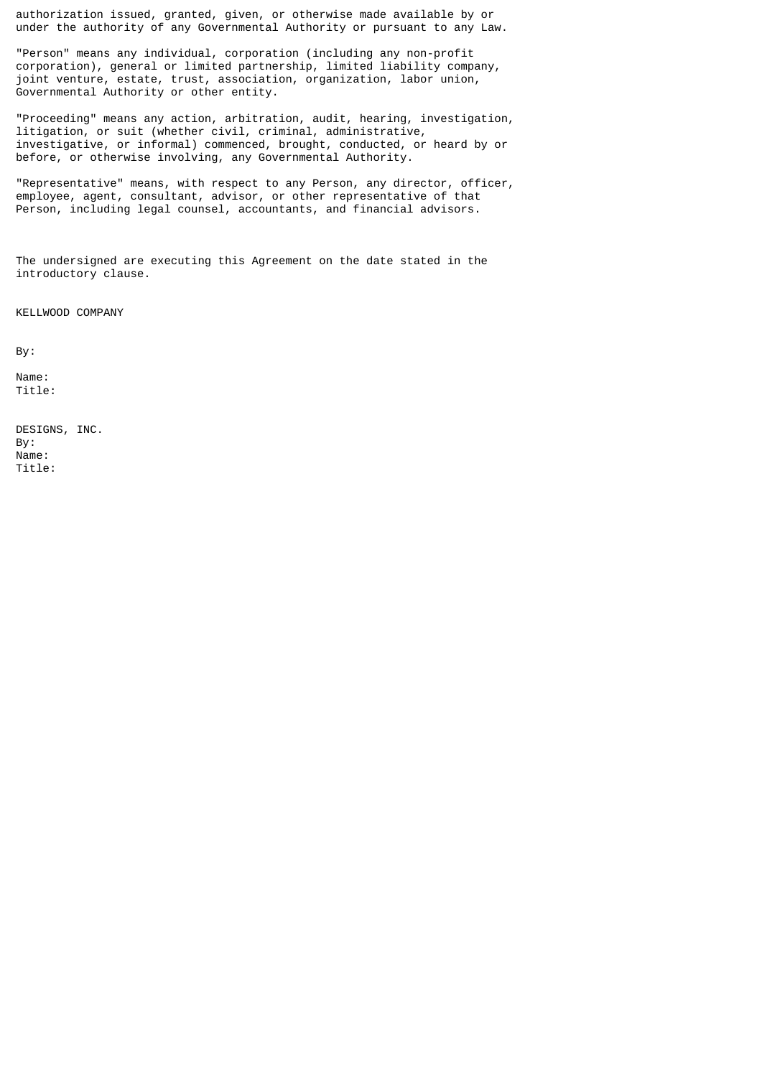authorization issued, granted, given, or otherwise made available by or under the authority of any Governmental Authority or pursuant to any Law.

"Person" means any individual, corporation (including any non-profit corporation), general or limited partnership, limited liability company, joint venture, estate, trust, association, organization, labor union, Governmental Authority or other entity.

"Proceeding" means any action, arbitration, audit, hearing, investigation, litigation, or suit (whether civil, criminal, administrative, investigative, or informal) commenced, brought, conducted, or heard by or before, or otherwise involving, any Governmental Authority.

"Representative" means, with respect to any Person, any director, officer, employee, agent, consultant, advisor, or other representative of that Person, including legal counsel, accountants, and financial advisors.

The undersigned are executing this Agreement on the date stated in the introductory clause.

KELLWOOD COMPANY

By:

Name: Title:

DESIGNS, INC. By: Name: Title: